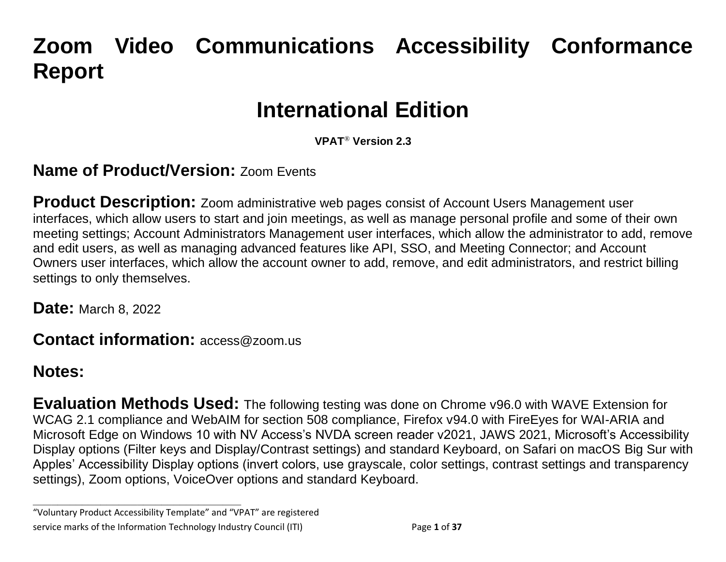# **Zoom Video Communications Accessibility Conformance Report**

## **International Edition**

**VPAT**® **Version 2.3** 

#### **Name of Product/Version: Zoom Events**

**Product Description:** Zoom administrative web pages consist of Account Users Management user interfaces, which allow users to start and join meetings, as well as manage personal profile and some of their own meeting settings; Account Administrators Management user interfaces, which allow the administrator to add, remove and edit users, as well as managing advanced features like API, SSO, and Meeting Connector; and Account Owners user interfaces, which allow the account owner to add, remove, and edit administrators, and restrict billing settings to only themselves.

**Date:** March 8, 2022

**Contact information:** access@zoom.us

#### **Notes:**

**Evaluation Methods Used:** The following testing was done on Chrome v96.0 with WAVE Extension for WCAG 2.1 compliance and WebAIM for section 508 compliance, Firefox v94.0 with FireEyes for WAI-ARIA and Microsoft Edge on Windows 10 with NV Access's NVDA screen reader v2021, JAWS 2021, Microsoft's Accessibility Display options (Filter keys and Display/Contrast settings) and standard Keyboard, on Safari on macOS Big Sur with Apples' Accessibility Display options (invert colors, use grayscale, color settings, contrast settings and transparency settings), Zoom options, VoiceOver options and standard Keyboard.

**\_\_\_\_\_\_\_\_\_\_\_\_\_\_\_\_\_\_\_\_\_\_\_\_\_\_\_\_\_\_\_\_\_\_**

<sup>&</sup>quot;Voluntary Product Accessibility Template" and "VPAT" are registered service marks of the Information Technology Industry Council (ITI) Page **1** of **37**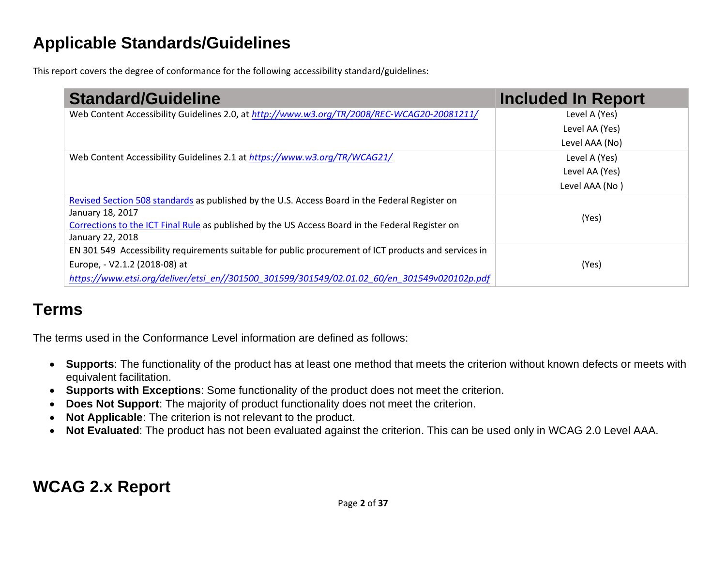### **Applicable Standards/Guidelines**

This report covers the degree of conformance for the following accessibility standard/guidelines:

| <b>Standard/Guideline</b>                                                                             | <b>Included In Report</b> |
|-------------------------------------------------------------------------------------------------------|---------------------------|
| Web Content Accessibility Guidelines 2.0, at http://www.w3.org/TR/2008/REC-WCAG20-20081211/           | Level A (Yes)             |
|                                                                                                       | Level AA (Yes)            |
|                                                                                                       | Level AAA (No)            |
| Web Content Accessibility Guidelines 2.1 at https://www.w3.org/TR/WCAG21/                             | Level A (Yes)             |
|                                                                                                       | Level AA (Yes)            |
|                                                                                                       | Level AAA (No)            |
| Revised Section 508 standards as published by the U.S. Access Board in the Federal Register on        |                           |
| January 18, 2017                                                                                      | (Yes)                     |
| Corrections to the ICT Final Rule as published by the US Access Board in the Federal Register on      |                           |
| January 22, 2018                                                                                      |                           |
| EN 301 549 Accessibility requirements suitable for public procurement of ICT products and services in |                           |
| Europe, - V2.1.2 (2018-08) at                                                                         | (Yes)                     |
| https://www.etsi.org/deliver/etsi_en//301500_301599/301549/02.01.02_60/en_301549v020102p.pdf          |                           |

### **Terms**

The terms used in the Conformance Level information are defined as follows:

- **Supports**: The functionality of the product has at least one method that meets the criterion without known defects or meets with equivalent facilitation.
- **Supports with Exceptions**: Some functionality of the product does not meet the criterion.
- **Does Not Support**: The majority of product functionality does not meet the criterion.
- **Not Applicable**: The criterion is not relevant to the product.
- **Not Evaluated**: The product has not been evaluated against the criterion. This can be used only in WCAG 2.0 Level AAA.

### **WCAG 2.x Report**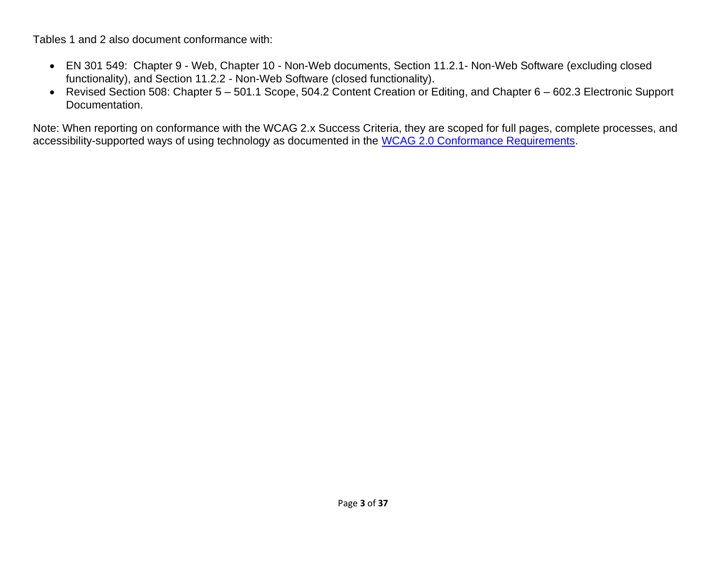Tables 1 and 2 also document conformance with:

- EN 301 549: Chapter 9 Web, Chapter 10 Non-Web documents, Section 11.2.1- Non-Web Software (excluding closed functionality), and Section 11.2.2 - Non-Web Software (closed functionality).
- Revised Section 508: Chapter 5 501.1 Scope, 504.2 Content Creation or Editing, and Chapter 6 602.3 Electronic Support Documentation.

Note: When reporting on conformance with the WCAG 2.x Success Criteria, they are scoped for full pages, complete processes, and accessibility-supported ways of using technology as documented in the [WCAG 2.0 Conformance Requirements.](https://www.w3.org/TR/WCAG20/#conformance-reqs)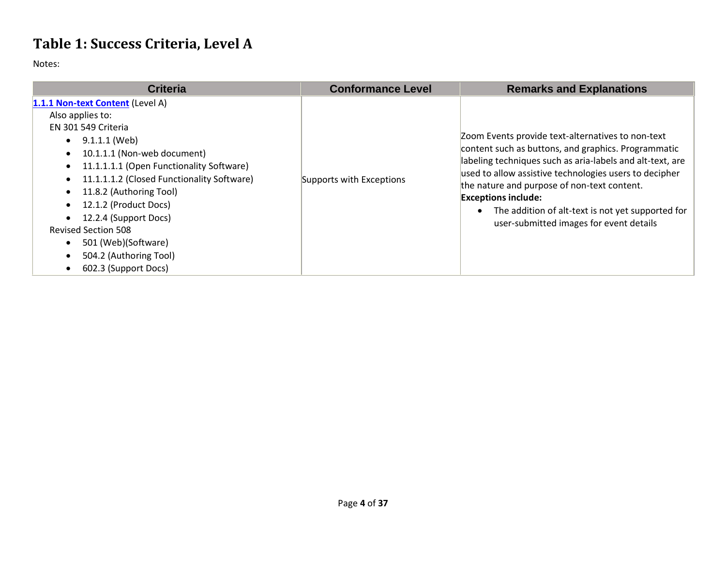### **Table 1: Success Criteria, Level A**

| <b>Criteria</b>                                                                                                                                                                                                                                                                                                                                                                                                        | <b>Conformance Level</b> | <b>Remarks and Explanations</b>                                                                                                                                                                                                                                                                                                                                                                              |
|------------------------------------------------------------------------------------------------------------------------------------------------------------------------------------------------------------------------------------------------------------------------------------------------------------------------------------------------------------------------------------------------------------------------|--------------------------|--------------------------------------------------------------------------------------------------------------------------------------------------------------------------------------------------------------------------------------------------------------------------------------------------------------------------------------------------------------------------------------------------------------|
| 1.1.1 Non-text Content (Level A)<br>Also applies to:<br>EN 301 549 Criteria<br>9.1.1.1 (Web)<br>10.1.1.1 (Non-web document)<br>11.1.1.1.1 (Open Functionality Software)<br>$\bullet$<br>11.1.1.1.2 (Closed Functionality Software)<br>11.8.2 (Authoring Tool)<br>12.1.2 (Product Docs)<br>12.2.4 (Support Docs)<br><b>Revised Section 508</b><br>501 (Web)(Software)<br>504.2 (Authoring Tool)<br>602.3 (Support Docs) | Supports with Exceptions | Zoom Events provide text-alternatives to non-text<br>content such as buttons, and graphics. Programmatic<br>labeling techniques such as aria-labels and alt-text, are<br>used to allow assistive technologies users to decipher<br>the nature and purpose of non-text content.<br><b>Exceptions include:</b><br>The addition of alt-text is not yet supported for<br>user-submitted images for event details |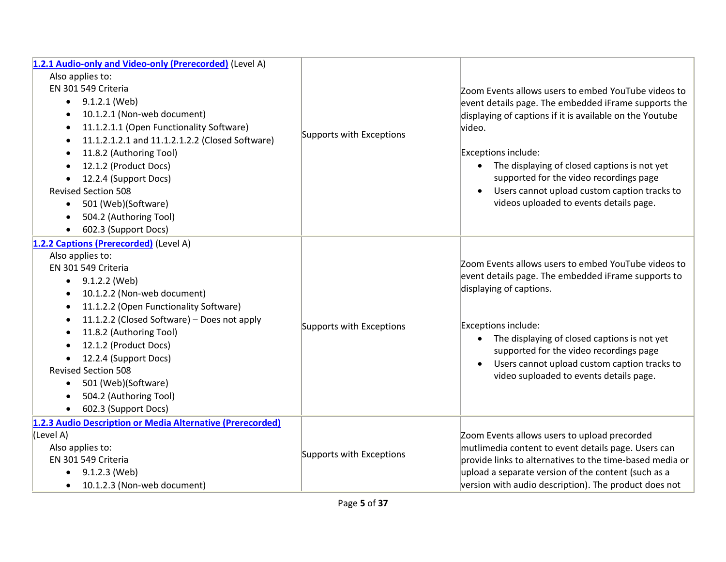| 1.2.1 Audio-only and Video-only (Prerecorded) (Level A)      |                          |                                                          |
|--------------------------------------------------------------|--------------------------|----------------------------------------------------------|
| Also applies to:                                             |                          |                                                          |
| EN 301 549 Criteria                                          |                          | Zoom Events allows users to embed YouTube videos to      |
| $\bullet$ 9.1.2.1 (Web)                                      |                          | event details page. The embedded iFrame supports the     |
| 10.1.2.1 (Non-web document)                                  |                          | displaying of captions if it is available on the Youtube |
| 11.1.2.1.1 (Open Functionality Software)<br>٠                |                          | video.                                                   |
| 11.1.2.1.2.1 and 11.1.2.1.2.2 (Closed Software)<br>$\bullet$ | Supports with Exceptions |                                                          |
| 11.8.2 (Authoring Tool)<br>$\bullet$                         |                          | Exceptions include:                                      |
| 12.1.2 (Product Docs)                                        |                          | The displaying of closed captions is not yet             |
| 12.2.4 (Support Docs)                                        |                          | supported for the video recordings page                  |
| <b>Revised Section 508</b>                                   |                          | Users cannot upload custom caption tracks to             |
| 501 (Web)(Software)<br>$\bullet$                             |                          | videos uploaded to events details page.                  |
| 504.2 (Authoring Tool)<br>$\bullet$                          |                          |                                                          |
| 602.3 (Support Docs)                                         |                          |                                                          |
| 1.2.2 Captions (Prerecorded) (Level A)                       |                          |                                                          |
| Also applies to:                                             |                          |                                                          |
| EN 301 549 Criteria                                          |                          | Zoom Events allows users to embed YouTube videos to      |
| $\bullet$ 9.1.2.2 (Web)                                      |                          | event details page. The embedded iFrame supports to      |
| 10.1.2.2 (Non-web document)                                  |                          | displaying of captions.                                  |
| 11.1.2.2 (Open Functionality Software)<br>٠                  |                          |                                                          |
| 11.1.2.2 (Closed Software) - Does not apply                  | Supports with Exceptions | Exceptions include:                                      |
| 11.8.2 (Authoring Tool)                                      |                          | The displaying of closed captions is not yet             |
| 12.1.2 (Product Docs)                                        |                          | supported for the video recordings page                  |
| 12.2.4 (Support Docs)                                        |                          | Users cannot upload custom caption tracks to             |
| <b>Revised Section 508</b>                                   |                          | video suploaded to events details page.                  |
| 501 (Web)(Software)<br>$\bullet$                             |                          |                                                          |
| 504.2 (Authoring Tool)<br>$\bullet$                          |                          |                                                          |
| 602.3 (Support Docs)<br>$\bullet$                            |                          |                                                          |
| 1.2.3 Audio Description or Media Alternative (Prerecorded)   |                          |                                                          |
| (Level A)                                                    |                          | Zoom Events allows users to upload precorded             |
| Also applies to:                                             | Supports with Exceptions | mutlimedia content to event details page. Users can      |
| EN 301 549 Criteria                                          |                          | provide links to alternatives to the time-based media or |
| 9.1.2.3 (Web)                                                |                          | upload a separate version of the content (such as a      |
| 10.1.2.3 (Non-web document)<br>$\bullet$                     |                          | version with audio description). The product does not    |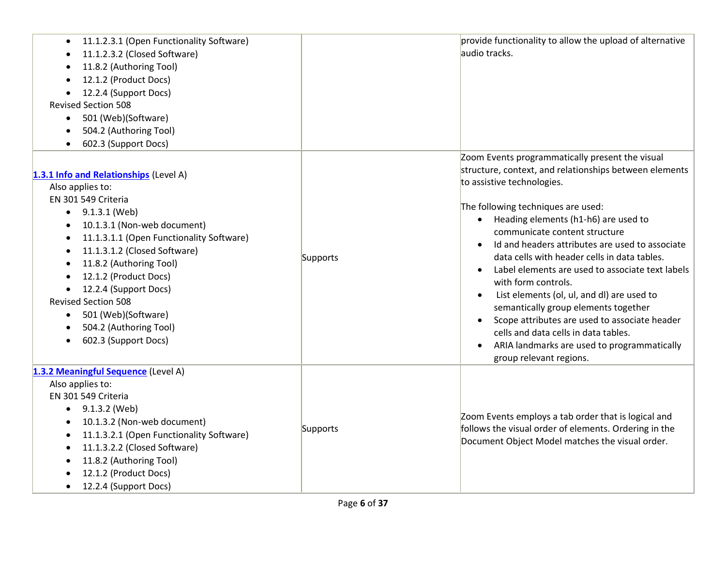| 11.1.2.3.1 (Open Functionality Software)<br>11.1.2.3.2 (Closed Software)<br>11.8.2 (Authoring Tool)<br>12.1.2 (Product Docs)<br>$\bullet$<br>12.2.4 (Support Docs)<br><b>Revised Section 508</b><br>501 (Web)(Software)<br>$\bullet$<br>504.2 (Authoring Tool)<br>602.3 (Support Docs)                                                                                                                                                |          | provide functionality to allow the upload of alternative<br>audio tracks.                                                                                                                                                                                                                                                                                                                                                                                                                                                                                                                                                                                                                                                                         |
|---------------------------------------------------------------------------------------------------------------------------------------------------------------------------------------------------------------------------------------------------------------------------------------------------------------------------------------------------------------------------------------------------------------------------------------|----------|---------------------------------------------------------------------------------------------------------------------------------------------------------------------------------------------------------------------------------------------------------------------------------------------------------------------------------------------------------------------------------------------------------------------------------------------------------------------------------------------------------------------------------------------------------------------------------------------------------------------------------------------------------------------------------------------------------------------------------------------------|
| 1.3.1 Info and Relationships (Level A)<br>Also applies to:<br>EN 301 549 Criteria<br>$\bullet$ 9.1.3.1 (Web)<br>10.1.3.1 (Non-web document)<br>11.1.3.1.1 (Open Functionality Software)<br>11.1.3.1.2 (Closed Software)<br>11.8.2 (Authoring Tool)<br>12.1.2 (Product Docs)<br>12.2.4 (Support Docs)<br>$\bullet$<br><b>Revised Section 508</b><br>501 (Web)(Software)<br>$\bullet$<br>504.2 (Authoring Tool)<br>602.3 (Support Docs) | Supports | Zoom Events programmatically present the visual<br>structure, context, and relationships between elements<br>to assistive technologies.<br>The following techniques are used:<br>Heading elements (h1-h6) are used to<br>$\bullet$<br>communicate content structure<br>Id and headers attributes are used to associate<br>$\bullet$<br>data cells with header cells in data tables.<br>Label elements are used to associate text labels<br>with form controls.<br>List elements (ol, ul, and dl) are used to<br>$\bullet$<br>semantically group elements together<br>Scope attributes are used to associate header<br>$\bullet$<br>cells and data cells in data tables.<br>ARIA landmarks are used to programmatically<br>group relevant regions. |
| 1.3.2 Meaningful Sequence (Level A)<br>Also applies to:<br>EN 301 549 Criteria<br>9.1.3.2 (Web)<br>10.1.3.2 (Non-web document)<br>11.1.3.2.1 (Open Functionality Software)<br>11.1.3.2.2 (Closed Software)<br>11.8.2 (Authoring Tool)<br>12.1.2 (Product Docs)<br>12.2.4 (Support Docs)<br>$\bullet$                                                                                                                                  | Supports | Zoom Events employs a tab order that is logical and<br>follows the visual order of elements. Ordering in the<br>Document Object Model matches the visual order.                                                                                                                                                                                                                                                                                                                                                                                                                                                                                                                                                                                   |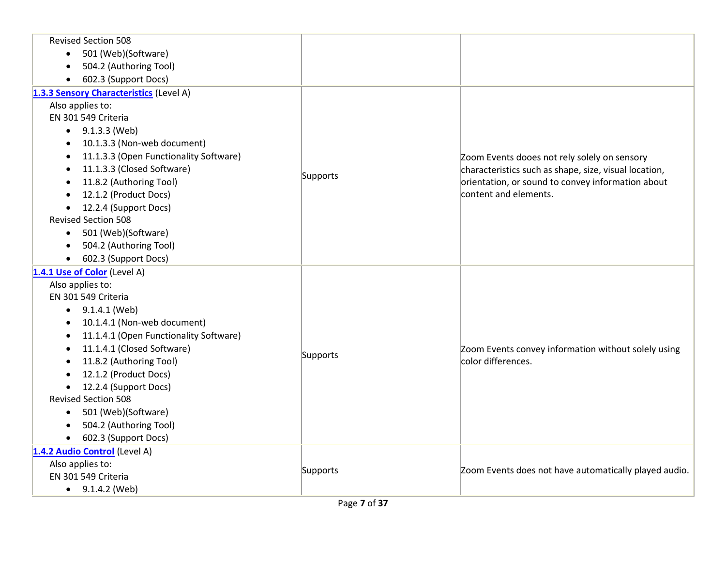| <b>Revised Section 508</b>                          |          |                                                       |
|-----------------------------------------------------|----------|-------------------------------------------------------|
| 501 (Web)(Software)<br>$\bullet$                    |          |                                                       |
| 504.2 (Authoring Tool)                              |          |                                                       |
| 602.3 (Support Docs)<br>$\bullet$                   |          |                                                       |
| 1.3.3 Sensory Characteristics (Level A)             |          |                                                       |
| Also applies to:                                    |          |                                                       |
| EN 301 549 Criteria                                 |          |                                                       |
| $\bullet$ 9.1.3.3 (Web)                             |          |                                                       |
| 10.1.3.3 (Non-web document)<br>$\bullet$            |          |                                                       |
| 11.1.3.3 (Open Functionality Software)<br>$\bullet$ |          | Zoom Events dooes not rely solely on sensory          |
| 11.1.3.3 (Closed Software)                          |          | characteristics such as shape, size, visual location, |
| 11.8.2 (Authoring Tool)                             | Supports | orientation, or sound to convey information about     |
| 12.1.2 (Product Docs)                               |          | content and elements.                                 |
| 12.2.4 (Support Docs)                               |          |                                                       |
| <b>Revised Section 508</b>                          |          |                                                       |
| 501 (Web)(Software)<br>$\bullet$                    |          |                                                       |
| 504.2 (Authoring Tool)                              |          |                                                       |
| 602.3 (Support Docs)                                |          |                                                       |
| 1.4.1 Use of Color (Level A)                        |          |                                                       |
| Also applies to:                                    |          |                                                       |
| EN 301 549 Criteria                                 |          |                                                       |
| $\bullet$ 9.1.4.1 (Web)                             |          |                                                       |
| 10.1.4.1 (Non-web document)<br>$\bullet$            |          |                                                       |
| 11.1.4.1 (Open Functionality Software)<br>$\bullet$ |          |                                                       |
| 11.1.4.1 (Closed Software)                          |          | Zoom Events convey information without solely using   |
| 11.8.2 (Authoring Tool)                             | Supports | color differences.                                    |
| 12.1.2 (Product Docs)                               |          |                                                       |
| 12.2.4 (Support Docs)                               |          |                                                       |
| <b>Revised Section 508</b>                          |          |                                                       |
| 501 (Web)(Software)<br>$\bullet$                    |          |                                                       |
| 504.2 (Authoring Tool)                              |          |                                                       |
| 602.3 (Support Docs)                                |          |                                                       |
| 1.4.2 Audio Control (Level A)                       |          |                                                       |
| Also applies to:                                    | Supports | Zoom Events does not have automatically played audio. |
| EN 301 549 Criteria                                 |          |                                                       |
| $\bullet$ 9.1.4.2 (Web)                             |          |                                                       |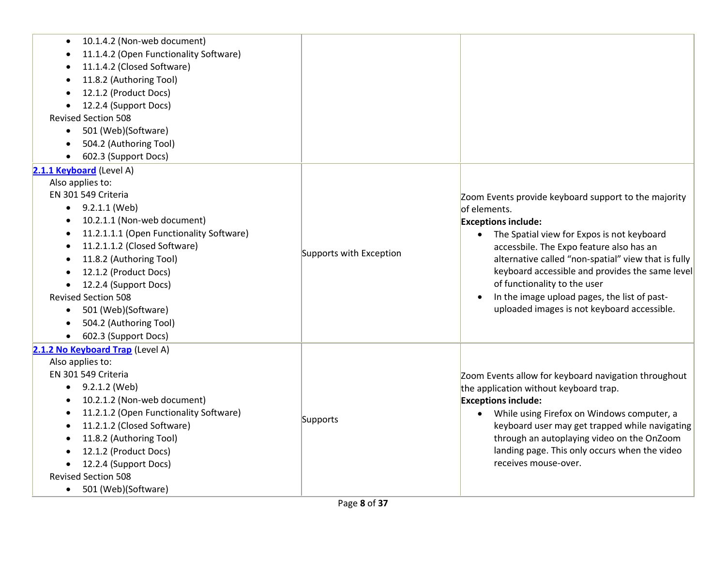| 10.1.4.2 (Non-web document)              |                         |                                                         |
|------------------------------------------|-------------------------|---------------------------------------------------------|
| 11.1.4.2 (Open Functionality Software)   |                         |                                                         |
| 11.1.4.2 (Closed Software)               |                         |                                                         |
| 11.8.2 (Authoring Tool)<br>$\bullet$     |                         |                                                         |
| 12.1.2 (Product Docs)                    |                         |                                                         |
| 12.2.4 (Support Docs)                    |                         |                                                         |
| <b>Revised Section 508</b>               |                         |                                                         |
| 501 (Web)(Software)<br>$\bullet$         |                         |                                                         |
| 504.2 (Authoring Tool)                   |                         |                                                         |
| 602.3 (Support Docs)                     |                         |                                                         |
| 2.1.1 Keyboard (Level A)                 |                         |                                                         |
| Also applies to:                         |                         |                                                         |
| EN 301 549 Criteria                      |                         | Zoom Events provide keyboard support to the majority    |
| 9.2.1.1 (Web)                            |                         | of elements.                                            |
| 10.2.1.1 (Non-web document)              |                         | <b>Exceptions include:</b>                              |
| 11.2.1.1.1 (Open Functionality Software) |                         | The Spatial view for Expos is not keyboard<br>$\bullet$ |
| 11.2.1.1.2 (Closed Software)             |                         | accessbile. The Expo feature also has an                |
| 11.8.2 (Authoring Tool)                  | Supports with Exception | alternative called "non-spatial" view that is fully     |
| 12.1.2 (Product Docs)                    |                         | keyboard accessible and provides the same level         |
| 12.2.4 (Support Docs)                    |                         | of functionality to the user                            |
| <b>Revised Section 508</b>               |                         | In the image upload pages, the list of past-            |
| 501 (Web)(Software)<br>$\bullet$         |                         | uploaded images is not keyboard accessible.             |
| 504.2 (Authoring Tool)                   |                         |                                                         |
| 602.3 (Support Docs)<br>$\bullet$        |                         |                                                         |
| 2.1.2 No Keyboard Trap (Level A)         |                         |                                                         |
| Also applies to:                         |                         |                                                         |
| EN 301 549 Criteria                      |                         | Zoom Events allow for keyboard navigation throughout    |
| $\bullet$ 9.2.1.2 (Web)                  |                         | the application without keyboard trap.                  |
| 10.2.1.2 (Non-web document)              |                         | <b>Exceptions include:</b>                              |
| 11.2.1.2 (Open Functionality Software)   |                         | While using Firefox on Windows computer, a              |
| 11.2.1.2 (Closed Software)               | Supports                | keyboard user may get trapped while navigating          |
| 11.8.2 (Authoring Tool)                  |                         | through an autoplaying video on the OnZoom              |
| 12.1.2 (Product Docs)                    |                         | landing page. This only occurs when the video           |
| 12.2.4 (Support Docs)                    |                         | receives mouse-over.                                    |
| <b>Revised Section 508</b>               |                         |                                                         |
| 501 (Web)(Software)<br>$\bullet$         |                         |                                                         |
|                                          |                         |                                                         |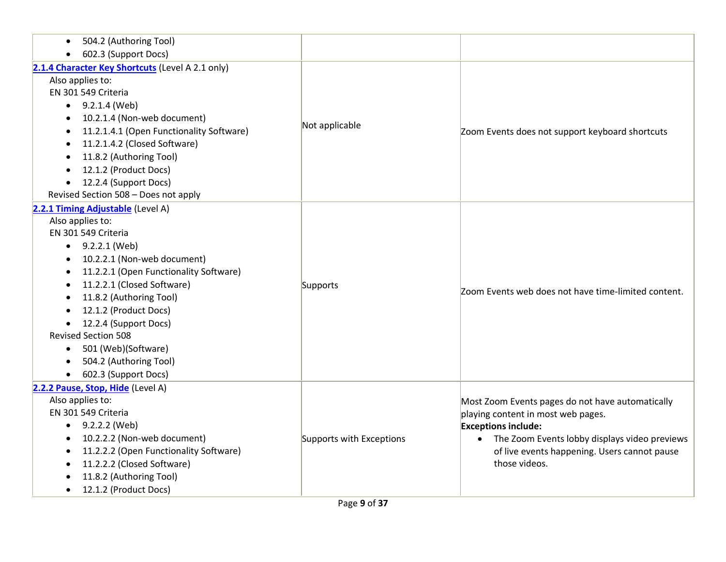| 504.2 (Authoring Tool)<br>$\bullet$                 |                          |                                                     |
|-----------------------------------------------------|--------------------------|-----------------------------------------------------|
| 602.3 (Support Docs)<br>$\bullet$                   |                          |                                                     |
| 2.1.4 Character Key Shortcuts (Level A 2.1 only)    |                          |                                                     |
| Also applies to:                                    |                          |                                                     |
| EN 301 549 Criteria                                 |                          |                                                     |
| $\bullet$ 9.2.1.4 (Web)                             |                          |                                                     |
| 10.2.1.4 (Non-web document)<br>$\bullet$            |                          |                                                     |
| 11.2.1.4.1 (Open Functionality Software)            | Not applicable           | Zoom Events does not support keyboard shortcuts     |
| 11.2.1.4.2 (Closed Software)                        |                          |                                                     |
| 11.8.2 (Authoring Tool)                             |                          |                                                     |
| 12.1.2 (Product Docs)                               |                          |                                                     |
| 12.2.4 (Support Docs)<br>$\bullet$                  |                          |                                                     |
| Revised Section 508 - Does not apply                |                          |                                                     |
| 2.2.1 Timing Adjustable (Level A)                   |                          |                                                     |
| Also applies to:                                    |                          |                                                     |
| EN 301 549 Criteria                                 |                          |                                                     |
| $\bullet$ 9.2.2.1 (Web)                             |                          |                                                     |
| 10.2.2.1 (Non-web document)<br>٠                    |                          |                                                     |
| 11.2.2.1 (Open Functionality Software)<br>$\bullet$ |                          |                                                     |
| 11.2.2.1 (Closed Software)<br>$\bullet$             | Supports                 | Zoom Events web does not have time-limited content. |
| 11.8.2 (Authoring Tool)                             |                          |                                                     |
| 12.1.2 (Product Docs)                               |                          |                                                     |
| • 12.2.4 (Support Docs)                             |                          |                                                     |
| <b>Revised Section 508</b>                          |                          |                                                     |
| 501 (Web)(Software)<br>$\bullet$                    |                          |                                                     |
| 504.2 (Authoring Tool)                              |                          |                                                     |
| 602.3 (Support Docs)<br>$\bullet$                   |                          |                                                     |
| 2.2.2 Pause, Stop, Hide (Level A)                   |                          |                                                     |
| Also applies to:                                    |                          | Most Zoom Events pages do not have automatically    |
| EN 301 549 Criteria                                 |                          | playing content in most web pages.                  |
| • $9.2.2.2$ (Web)                                   |                          | <b>Exceptions include:</b>                          |
| 10.2.2.2 (Non-web document)                         | Supports with Exceptions | • The Zoom Events lobby displays video previews     |
| 11.2.2.2 (Open Functionality Software)<br>$\bullet$ |                          | of live events happening. Users cannot pause        |
| 11.2.2.2 (Closed Software)<br>$\bullet$             |                          | those videos.                                       |
| 11.8.2 (Authoring Tool)                             |                          |                                                     |
| 12.1.2 (Product Docs)<br>$\bullet$                  |                          |                                                     |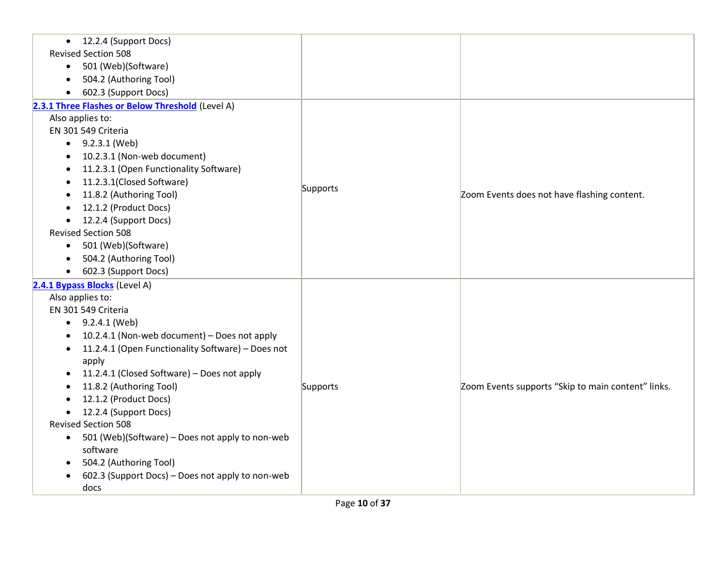| 12.2.4 (Support Docs)<br>$\bullet$                           |          |                                                    |
|--------------------------------------------------------------|----------|----------------------------------------------------|
| <b>Revised Section 508</b>                                   |          |                                                    |
| 501 (Web)(Software)<br>$\bullet$                             |          |                                                    |
| 504.2 (Authoring Tool)<br>$\bullet$                          |          |                                                    |
| 602.3 (Support Docs)                                         |          |                                                    |
| 2.3.1 Three Flashes or Below Threshold (Level A)             |          |                                                    |
| Also applies to:                                             |          |                                                    |
| EN 301 549 Criteria                                          |          |                                                    |
| $\bullet$ 9.2.3.1 (Web)                                      |          |                                                    |
| 10.2.3.1 (Non-web document)                                  |          |                                                    |
| 11.2.3.1 (Open Functionality Software)                       |          |                                                    |
| 11.2.3.1(Closed Software)                                    |          |                                                    |
| 11.8.2 (Authoring Tool)                                      | Supports | Zoom Events does not have flashing content.        |
| 12.1.2 (Product Docs)                                        |          |                                                    |
| 12.2.4 (Support Docs)                                        |          |                                                    |
| <b>Revised Section 508</b>                                   |          |                                                    |
| 501 (Web)(Software)<br>$\bullet$                             |          |                                                    |
| 504.2 (Authoring Tool)                                       |          |                                                    |
| 602.3 (Support Docs)<br>$\bullet$                            |          |                                                    |
| 2.4.1 Bypass Blocks (Level A)                                |          |                                                    |
| Also applies to:                                             |          |                                                    |
| EN 301 549 Criteria                                          |          |                                                    |
| $\bullet$ 9.2.4.1 (Web)                                      |          |                                                    |
| 10.2.4.1 (Non-web document) - Does not apply                 |          |                                                    |
| 11.2.4.1 (Open Functionality Software) - Does not            |          |                                                    |
| apply                                                        |          |                                                    |
| 11.2.4.1 (Closed Software) - Does not apply                  |          |                                                    |
| 11.8.2 (Authoring Tool)                                      | Supports | Zoom Events supports "Skip to main content" links. |
| 12.1.2 (Product Docs)                                        |          |                                                    |
| 12.2.4 (Support Docs)                                        |          |                                                    |
| <b>Revised Section 508</b>                                   |          |                                                    |
| 501 (Web)(Software) - Does not apply to non-web<br>$\bullet$ |          |                                                    |
| software                                                     |          |                                                    |
| 504.2 (Authoring Tool)                                       |          |                                                    |
| 602.3 (Support Docs) - Does not apply to non-web             |          |                                                    |
| docs                                                         |          |                                                    |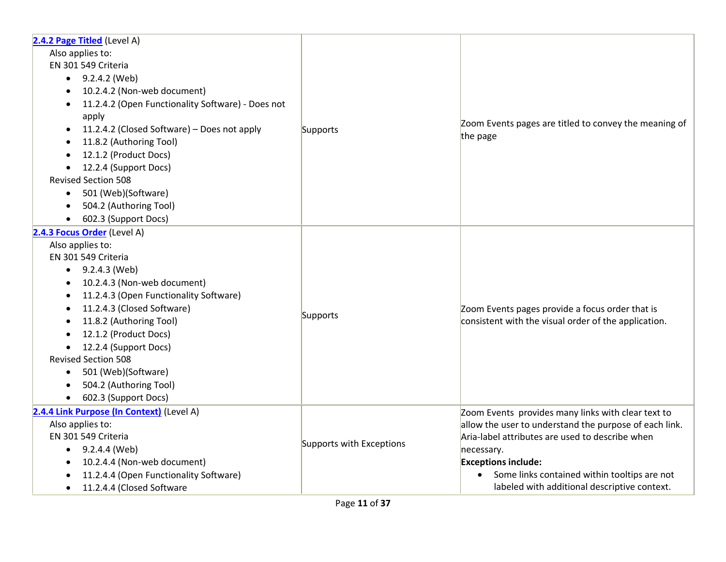| 2.4.2 Page Titled (Level A)<br>Also applies to:<br>EN 301 549 Criteria<br>$\bullet$ 9.2.4.2 (Web)<br>10.2.4.2 (Non-web document)<br>$\bullet$<br>11.2.4.2 (Open Functionality Software) - Does not<br>$\bullet$<br>apply<br>11.2.4.2 (Closed Software) - Does not apply<br>11.8.2 (Authoring Tool)<br>12.1.2 (Product Docs)<br>12.2.4 (Support Docs)<br>$\bullet$<br><b>Revised Section 508</b><br>501 (Web)(Software)<br>504.2 (Authoring Tool)<br>602.3 (Support Docs) | Supports                 | Zoom Events pages are titled to convey the meaning of<br>the page                                                                                                                                                                                                                                           |
|--------------------------------------------------------------------------------------------------------------------------------------------------------------------------------------------------------------------------------------------------------------------------------------------------------------------------------------------------------------------------------------------------------------------------------------------------------------------------|--------------------------|-------------------------------------------------------------------------------------------------------------------------------------------------------------------------------------------------------------------------------------------------------------------------------------------------------------|
| 2.4.3 Focus Order (Level A)<br>Also applies to:<br>EN 301 549 Criteria<br>9.2.4.3 (Web)<br>10.2.4.3 (Non-web document)<br>$\bullet$<br>11.2.4.3 (Open Functionality Software)<br>$\bullet$<br>11.2.4.3 (Closed Software)<br>11.8.2 (Authoring Tool)<br>12.1.2 (Product Docs)<br>12.2.4 (Support Docs)<br>$\bullet$<br><b>Revised Section 508</b><br>501 (Web)(Software)<br>504.2 (Authoring Tool)<br>602.3 (Support Docs)                                                | Supports                 | Zoom Events pages provide a focus order that is<br>consistent with the visual order of the application.                                                                                                                                                                                                     |
| 2.4.4 Link Purpose (In Context) (Level A)<br>Also applies to:<br>EN 301 549 Criteria<br>$\bullet$ 9.2.4.4 (Web)<br>10.2.4.4 (Non-web document)<br>٠<br>11.2.4.4 (Open Functionality Software)<br>11.2.4.4 (Closed Software<br>$\bullet$                                                                                                                                                                                                                                  | Supports with Exceptions | Zoom Events provides many links with clear text to<br>allow the user to understand the purpose of each link.<br>Aria-label attributes are used to describe when<br>necessary.<br><b>Exceptions include:</b><br>Some links contained within tooltips are not<br>labeled with additional descriptive context. |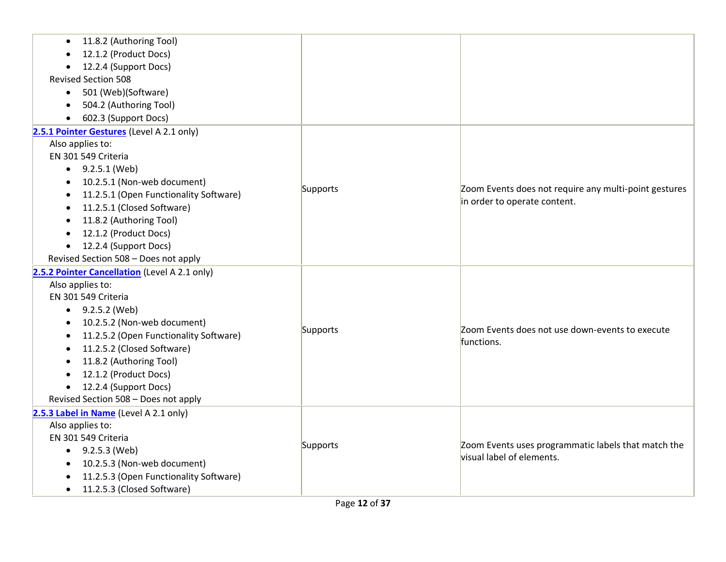| 11.8.2 (Authoring Tool)<br>12.1.2 (Product Docs)<br>12.2.4 (Support Docs)<br>$\bullet$<br><b>Revised Section 508</b><br>501 (Web)(Software)<br>$\bullet$<br>504.2 (Authoring Tool)<br>$\bullet$<br>602.3 (Support Docs)<br>$\bullet$                                                                                                                                                   |          |                                                                                       |
|----------------------------------------------------------------------------------------------------------------------------------------------------------------------------------------------------------------------------------------------------------------------------------------------------------------------------------------------------------------------------------------|----------|---------------------------------------------------------------------------------------|
| 2.5.1 Pointer Gestures (Level A 2.1 only)<br>Also applies to:<br>EN 301 549 Criteria<br>• $9.2.5.1$ (Web)<br>10.2.5.1 (Non-web document)<br>$\bullet$<br>11.2.5.1 (Open Functionality Software)<br>11.2.5.1 (Closed Software)<br>11.8.2 (Authoring Tool)<br>12.1.2 (Product Docs)<br>12.2.4 (Support Docs)<br>Revised Section 508 - Does not apply                                     | Supports | Zoom Events does not require any multi-point gestures<br>in order to operate content. |
| 2.5.2 Pointer Cancellation (Level A 2.1 only)<br>Also applies to:<br>EN 301 549 Criteria<br>$\bullet$ 9.2.5.2 (Web)<br>10.2.5.2 (Non-web document)<br>$\bullet$<br>11.2.5.2 (Open Functionality Software)<br>$\bullet$<br>11.2.5.2 (Closed Software)<br>11.8.2 (Authoring Tool)<br>12.1.2 (Product Docs)<br>12.2.4 (Support Docs)<br>$\bullet$<br>Revised Section 508 - Does not apply | Supports | Zoom Events does not use down-events to execute<br>functions.                         |
| 2.5.3 Label in Name (Level A 2.1 only)<br>Also applies to:<br>EN 301 549 Criteria<br>• $9.2.5.3$ (Web)<br>10.2.5.3 (Non-web document)<br>11.2.5.3 (Open Functionality Software)<br>11.2.5.3 (Closed Software)<br>$\bullet$                                                                                                                                                             | Supports | Zoom Events uses programmatic labels that match the<br>visual label of elements.      |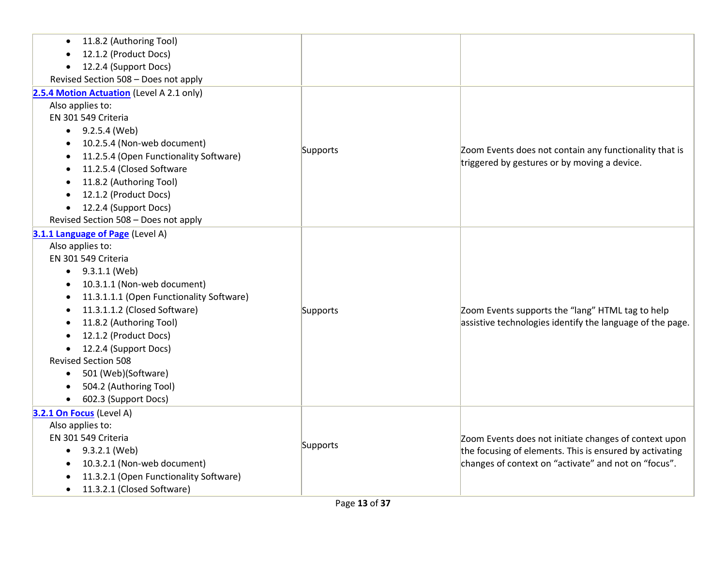| 11.8.2 (Authoring Tool)<br>12.1.2 (Product Docs)<br>12.2.4 (Support Docs)<br>Revised Section 508 - Does not apply                                                                                                                                                                                                                                                                                                    |          |                                                                                                                                                                          |
|----------------------------------------------------------------------------------------------------------------------------------------------------------------------------------------------------------------------------------------------------------------------------------------------------------------------------------------------------------------------------------------------------------------------|----------|--------------------------------------------------------------------------------------------------------------------------------------------------------------------------|
| 2.5.4 Motion Actuation (Level A 2.1 only)<br>Also applies to:<br>EN 301 549 Criteria<br>$\bullet$ 9.2.5.4 (Web)<br>10.2.5.4 (Non-web document)<br>$\bullet$<br>11.2.5.4 (Open Functionality Software)<br>11.2.5.4 (Closed Software<br>11.8.2 (Authoring Tool)<br>12.1.2 (Product Docs)<br>12.2.4 (Support Docs)<br>Revised Section 508 - Does not apply                                                              | Supports | Zoom Events does not contain any functionality that is<br>triggered by gestures or by moving a device.                                                                   |
| 3.1.1 Language of Page (Level A)<br>Also applies to:<br>EN 301 549 Criteria<br>$\bullet$ 9.3.1.1 (Web)<br>10.3.1.1 (Non-web document)<br>11.3.1.1.1 (Open Functionality Software)<br>11.3.1.1.2 (Closed Software)<br>11.8.2 (Authoring Tool)<br>12.1.2 (Product Docs)<br>12.2.4 (Support Docs)<br><b>Revised Section 508</b><br>• 501 (Web)(Software)<br>504.2 (Authoring Tool)<br>602.3 (Support Docs)<br>$\bullet$ | Supports | Zoom Events supports the "lang" HTML tag to help<br>assistive technologies identify the language of the page.                                                            |
| 3.2.1 On Focus (Level A)<br>Also applies to:<br>EN 301 549 Criteria<br>$\bullet$ 9.3.2.1 (Web)<br>10.3.2.1 (Non-web document)<br>11.3.2.1 (Open Functionality Software)<br>11.3.2.1 (Closed Software)<br>$\bullet$                                                                                                                                                                                                   | Supports | Zoom Events does not initiate changes of context upon<br>the focusing of elements. This is ensured by activating<br>changes of context on "activate" and not on "focus". |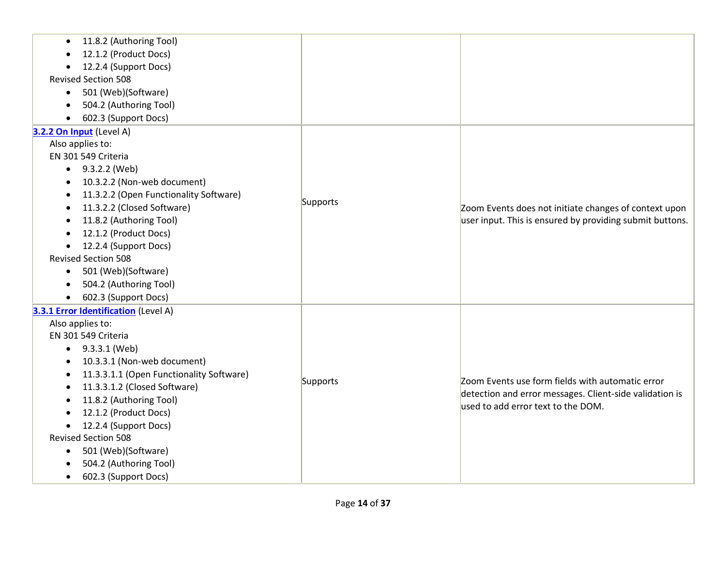| 11.8.2 (Authoring Tool)<br>$\bullet$<br>12.1.2 (Product Docs) |                 |                                                          |
|---------------------------------------------------------------|-----------------|----------------------------------------------------------|
| 12.2.4 (Support Docs)                                         |                 |                                                          |
| <b>Revised Section 508</b>                                    |                 |                                                          |
| 501 (Web)(Software)<br>$\bullet$                              |                 |                                                          |
| 504.2 (Authoring Tool)                                        |                 |                                                          |
| 602.3 (Support Docs)                                          |                 |                                                          |
| 3.2.2 On Input (Level A)                                      |                 |                                                          |
| Also applies to:                                              |                 |                                                          |
| EN 301 549 Criteria                                           |                 |                                                          |
| $-9.3.2.2$ (Web)                                              |                 |                                                          |
| 10.3.2.2 (Non-web document)                                   |                 |                                                          |
| 11.3.2.2 (Open Functionality Software)                        |                 |                                                          |
| 11.3.2.2 (Closed Software)                                    | <b>Supports</b> | Zoom Events does not initiate changes of context upon    |
| 11.8.2 (Authoring Tool)                                       |                 | user input. This is ensured by providing submit buttons. |
| 12.1.2 (Product Docs)                                         |                 |                                                          |
| 12.2.4 (Support Docs)<br>$\bullet$                            |                 |                                                          |
| <b>Revised Section 508</b>                                    |                 |                                                          |
| 501 (Web)(Software)<br>$\bullet$                              |                 |                                                          |
| 504.2 (Authoring Tool)<br>$\bullet$                           |                 |                                                          |
| 602.3 (Support Docs)                                          |                 |                                                          |
| 3.3.1 Error Identification (Level A)                          |                 |                                                          |
| Also applies to:                                              |                 |                                                          |
| EN 301 549 Criteria                                           |                 |                                                          |
| $\bullet$ 9.3.3.1 (Web)                                       |                 |                                                          |
| 10.3.3.1 (Non-web document)                                   |                 |                                                          |
| 11.3.3.1.1 (Open Functionality Software)                      | Supports        | Zoom Events use form fields with automatic error         |
| 11.3.3.1.2 (Closed Software)                                  |                 | detection and error messages. Client-side validation is  |
| 11.8.2 (Authoring Tool)                                       |                 | used to add error text to the DOM.                       |
| 12.1.2 (Product Docs)                                         |                 |                                                          |
| 12.2.4 (Support Docs)                                         |                 |                                                          |
| <b>Revised Section 508</b>                                    |                 |                                                          |
| 501 (Web)(Software)<br>$\bullet$                              |                 |                                                          |
| 504.2 (Authoring Tool)                                        |                 |                                                          |
| 602.3 (Support Docs)                                          |                 |                                                          |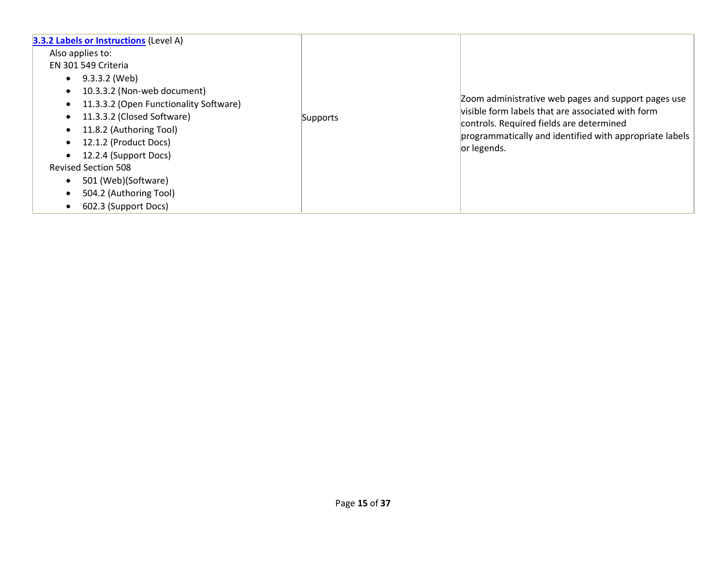| <b>3.3.2 Labels or Instructions (Level A)</b><br>Also applies to:<br>EN 301 549 Criteria<br>9.3.3.2 (Web)<br>10.3.3.2 (Non-web document)<br>11.3.3.2 (Open Functionality Software)<br>11.3.3.2 (Closed Software)<br>11.8.2 (Authoring Tool)<br>12.1.2 (Product Docs)<br>12.2.4 (Support Docs)<br><b>Revised Section 508</b><br>501 (Web)(Software)<br>504.2 (Authoring Tool)<br>602.3 (Support Docs) | Supports | Zoom administrative web pages and support pages use<br>visible form labels that are associated with form<br>controls. Required fields are determined<br>programmatically and identified with appropriate labels<br>or legends. |
|------------------------------------------------------------------------------------------------------------------------------------------------------------------------------------------------------------------------------------------------------------------------------------------------------------------------------------------------------------------------------------------------------|----------|--------------------------------------------------------------------------------------------------------------------------------------------------------------------------------------------------------------------------------|
|------------------------------------------------------------------------------------------------------------------------------------------------------------------------------------------------------------------------------------------------------------------------------------------------------------------------------------------------------------------------------------------------------|----------|--------------------------------------------------------------------------------------------------------------------------------------------------------------------------------------------------------------------------------|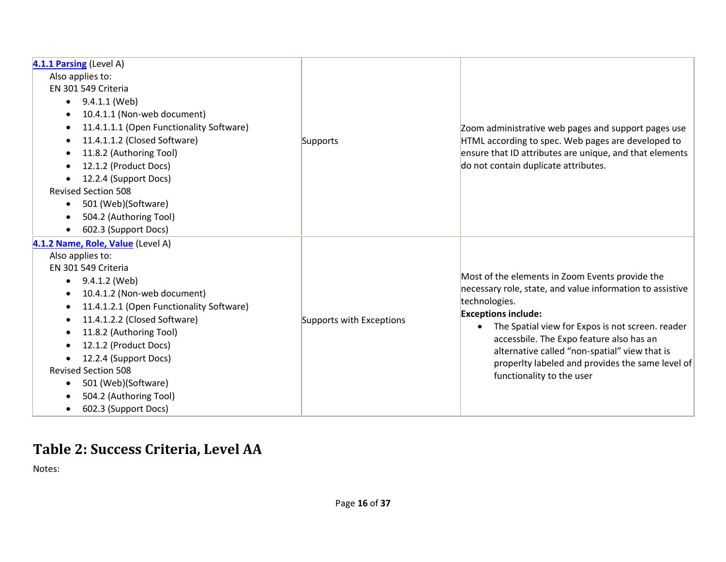| 4.1.1 Parsing (Level A)                               |                          |                                                                                           |
|-------------------------------------------------------|--------------------------|-------------------------------------------------------------------------------------------|
| Also applies to:                                      |                          |                                                                                           |
| EN 301 549 Criteria                                   |                          |                                                                                           |
| 9.4.1.1 (Web)<br>$\bullet$                            |                          |                                                                                           |
| 10.4.1.1 (Non-web document)                           |                          |                                                                                           |
| 11.4.1.1.1 (Open Functionality Software)<br>٠         |                          | Zoom administrative web pages and support pages use                                       |
| 11.4.1.1.2 (Closed Software)<br>$\bullet$             | Supports                 | HTML according to spec. Web pages are developed to                                        |
| 11.8.2 (Authoring Tool)<br>$\bullet$                  |                          | ensure that ID attributes are unique, and that elements                                   |
| 12.1.2 (Product Docs)                                 |                          | do not contain duplicate attributes.                                                      |
| 12.2.4 (Support Docs)<br>$\bullet$                    |                          |                                                                                           |
| <b>Revised Section 508</b>                            |                          |                                                                                           |
| 501 (Web)(Software)<br>$\bullet$                      |                          |                                                                                           |
| 504.2 (Authoring Tool)<br>$\bullet$                   |                          |                                                                                           |
| 602.3 (Support Docs)<br>$\bullet$                     |                          |                                                                                           |
| 4.1.2 Name, Role, Value (Level A)                     |                          |                                                                                           |
| Also applies to:                                      |                          |                                                                                           |
| EN 301 549 Criteria                                   |                          |                                                                                           |
| 9.4.1.2 (Web)<br>$\bullet$                            |                          | Most of the elements in Zoom Events provide the                                           |
| 10.4.1.2 (Non-web document)<br>$\bullet$              |                          | necessary role, state, and value information to assistive                                 |
| 11.4.1.2.1 (Open Functionality Software)<br>$\bullet$ |                          | technologies.                                                                             |
| 11.4.1.2.2 (Closed Software)<br>$\bullet$             | Supports with Exceptions | <b>Exceptions include:</b>                                                                |
| 11.8.2 (Authoring Tool)<br>$\bullet$                  |                          | The Spatial view for Expos is not screen. reader<br>$\bullet$                             |
| 12.1.2 (Product Docs)<br>٠                            |                          | accessbile. The Expo feature also has an<br>alternative called "non-spatial" view that is |
| 12.2.4 (Support Docs)                                 |                          | properlty labeled and provides the same level of                                          |
| <b>Revised Section 508</b>                            |                          | functionality to the user                                                                 |
| 501 (Web)(Software)                                   |                          |                                                                                           |
| 504.2 (Authoring Tool)                                |                          |                                                                                           |
| 602.3 (Support Docs)<br>$\bullet$                     |                          |                                                                                           |

### **Table 2: Success Criteria, Level AA**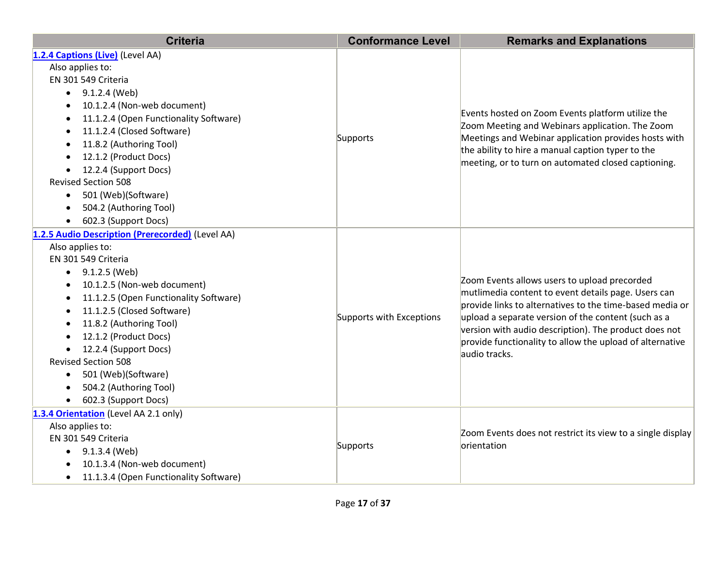| <b>Criteria</b>                                           | <b>Conformance Level</b> | <b>Remarks and Explanations</b>                                                                                                                                                                                                                                                                                                                              |
|-----------------------------------------------------------|--------------------------|--------------------------------------------------------------------------------------------------------------------------------------------------------------------------------------------------------------------------------------------------------------------------------------------------------------------------------------------------------------|
| 1.2.4 Captions (Live) (Level AA)                          |                          |                                                                                                                                                                                                                                                                                                                                                              |
| Also applies to:                                          |                          |                                                                                                                                                                                                                                                                                                                                                              |
| EN 301 549 Criteria                                       |                          | Events hosted on Zoom Events platform utilize the<br>Zoom Meeting and Webinars application. The Zoom<br>Meetings and Webinar application provides hosts with                                                                                                                                                                                                 |
| 9.1.2.4 (Web)<br>$\bullet$                                |                          |                                                                                                                                                                                                                                                                                                                                                              |
| 10.1.2.4 (Non-web document)<br>$\bullet$                  |                          |                                                                                                                                                                                                                                                                                                                                                              |
| 11.1.2.4 (Open Functionality Software)<br>$\bullet$       |                          |                                                                                                                                                                                                                                                                                                                                                              |
| 11.1.2.4 (Closed Software)<br>$\bullet$                   |                          |                                                                                                                                                                                                                                                                                                                                                              |
| Supports<br>11.8.2 (Authoring Tool)<br>$\bullet$          |                          | the ability to hire a manual caption typer to the                                                                                                                                                                                                                                                                                                            |
| 12.1.2 (Product Docs)                                     |                          | meeting, or to turn on automated closed captioning.                                                                                                                                                                                                                                                                                                          |
| 12.2.4 (Support Docs)<br>$\bullet$                        |                          |                                                                                                                                                                                                                                                                                                                                                              |
| <b>Revised Section 508</b>                                |                          |                                                                                                                                                                                                                                                                                                                                                              |
| 501 (Web)(Software)<br>$\bullet$                          |                          |                                                                                                                                                                                                                                                                                                                                                              |
| 504.2 (Authoring Tool)<br>$\bullet$                       |                          |                                                                                                                                                                                                                                                                                                                                                              |
| 602.3 (Support Docs)<br>$\bullet$                         |                          |                                                                                                                                                                                                                                                                                                                                                              |
| 1.2.5 Audio Description (Prerecorded) (Level AA)          |                          |                                                                                                                                                                                                                                                                                                                                                              |
| Also applies to:                                          |                          | Zoom Events allows users to upload precorded<br>mutlimedia content to event details page. Users can<br>provide links to alternatives to the time-based media or<br>upload a separate version of the content (such as a<br>version with audio description). The product does not<br>provide functionality to allow the upload of alternative<br>audio tracks. |
| EN 301 549 Criteria                                       |                          |                                                                                                                                                                                                                                                                                                                                                              |
| 9.1.2.5 (Web)<br>$\bullet$                                |                          |                                                                                                                                                                                                                                                                                                                                                              |
| 10.1.2.5 (Non-web document)                               |                          |                                                                                                                                                                                                                                                                                                                                                              |
| 11.1.2.5 (Open Functionality Software)<br>$\bullet$       |                          |                                                                                                                                                                                                                                                                                                                                                              |
| 11.1.2.5 (Closed Software)<br>$\bullet$                   | Supports with Exceptions |                                                                                                                                                                                                                                                                                                                                                              |
| 11.8.2 (Authoring Tool)<br>$\bullet$                      |                          |                                                                                                                                                                                                                                                                                                                                                              |
| 12.1.2 (Product Docs)<br>$\bullet$                        |                          |                                                                                                                                                                                                                                                                                                                                                              |
| 12.2.4 (Support Docs)<br>$\bullet$                        |                          |                                                                                                                                                                                                                                                                                                                                                              |
| <b>Revised Section 508</b>                                |                          |                                                                                                                                                                                                                                                                                                                                                              |
| 501 (Web)(Software)<br>$\bullet$                          |                          |                                                                                                                                                                                                                                                                                                                                                              |
| 504.2 (Authoring Tool)<br>$\bullet$                       |                          |                                                                                                                                                                                                                                                                                                                                                              |
| 602.3 (Support Docs)                                      |                          |                                                                                                                                                                                                                                                                                                                                                              |
| 1.3.4 Orientation (Level AA 2.1 only)                     |                          |                                                                                                                                                                                                                                                                                                                                                              |
| Also applies to:                                          |                          | Zoom Events does not restrict its view to a single display<br>orientation                                                                                                                                                                                                                                                                                    |
| EN 301 549 Criteria<br>Supports                           |                          |                                                                                                                                                                                                                                                                                                                                                              |
| 9.1.3.4 (Web)<br>$\bullet$<br>10.1.3.4 (Non-web document) |                          |                                                                                                                                                                                                                                                                                                                                                              |
| 11.1.3.4 (Open Functionality Software)<br>$\bullet$       |                          |                                                                                                                                                                                                                                                                                                                                                              |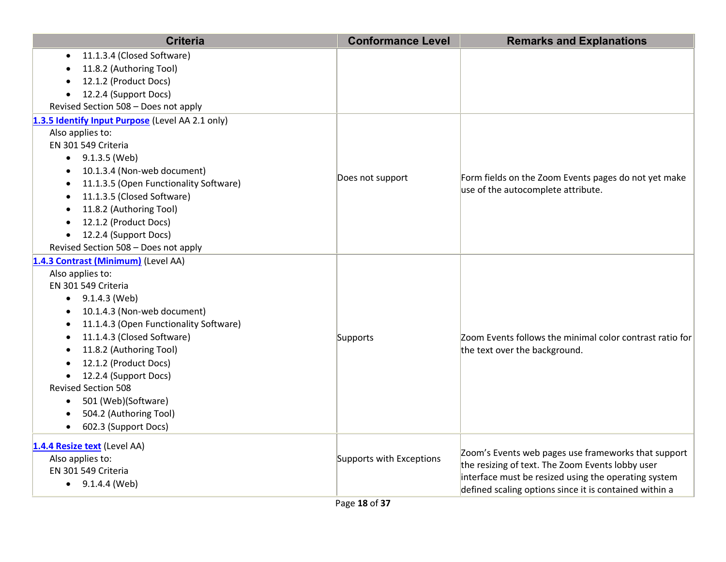| <b>Criteria</b>                                  | <b>Conformance Level</b> | <b>Remarks and Explanations</b>                          |
|--------------------------------------------------|--------------------------|----------------------------------------------------------|
| 11.1.3.4 (Closed Software)                       |                          |                                                          |
| 11.8.2 (Authoring Tool)                          |                          |                                                          |
| 12.1.2 (Product Docs)                            |                          |                                                          |
| 12.2.4 (Support Docs)                            |                          |                                                          |
| Revised Section 508 - Does not apply             |                          |                                                          |
| 1.3.5 Identify Input Purpose (Level AA 2.1 only) |                          |                                                          |
| Also applies to:                                 |                          |                                                          |
| EN 301 549 Criteria                              |                          |                                                          |
| • $9.1.3.5$ (Web)                                |                          |                                                          |
| 10.1.3.4 (Non-web document)                      |                          |                                                          |
| 11.1.3.5 (Open Functionality Software)           | Does not support         | Form fields on the Zoom Events pages do not yet make     |
| 11.1.3.5 (Closed Software)<br>$\bullet$          |                          | use of the autocomplete attribute.                       |
| 11.8.2 (Authoring Tool)<br>$\bullet$             |                          |                                                          |
| 12.1.2 (Product Docs)<br>$\bullet$               |                          |                                                          |
| 12.2.4 (Support Docs)<br>$\bullet$               |                          |                                                          |
| Revised Section 508 - Does not apply             |                          |                                                          |
| 1.4.3 Contrast (Minimum) (Level AA)              |                          |                                                          |
| Also applies to:                                 |                          |                                                          |
| EN 301 549 Criteria                              |                          |                                                          |
| $\bullet$ 9.1.4.3 (Web)                          |                          |                                                          |
| 10.1.4.3 (Non-web document)                      |                          |                                                          |
| 11.1.4.3 (Open Functionality Software)           |                          |                                                          |
| 11.1.4.3 (Closed Software)                       | Supports                 | Zoom Events follows the minimal color contrast ratio for |
| 11.8.2 (Authoring Tool)                          |                          | the text over the background.                            |
| 12.1.2 (Product Docs)                            |                          |                                                          |
| 12.2.4 (Support Docs)<br>$\bullet$               |                          |                                                          |
| <b>Revised Section 508</b>                       |                          |                                                          |
| 501 (Web)(Software)<br>$\bullet$                 |                          |                                                          |
| 504.2 (Authoring Tool)                           |                          |                                                          |
| 602.3 (Support Docs)<br>$\bullet$                |                          |                                                          |
| 1.4.4 Resize text (Level AA)                     |                          |                                                          |
| Also applies to:                                 | Supports with Exceptions | Zoom's Events web pages use frameworks that support      |
| EN 301 549 Criteria                              |                          | the resizing of text. The Zoom Events lobby user         |
| $\bullet$ 9.1.4.4 (Web)                          |                          | interface must be resized using the operating system     |
|                                                  |                          | defined scaling options since it is contained within a   |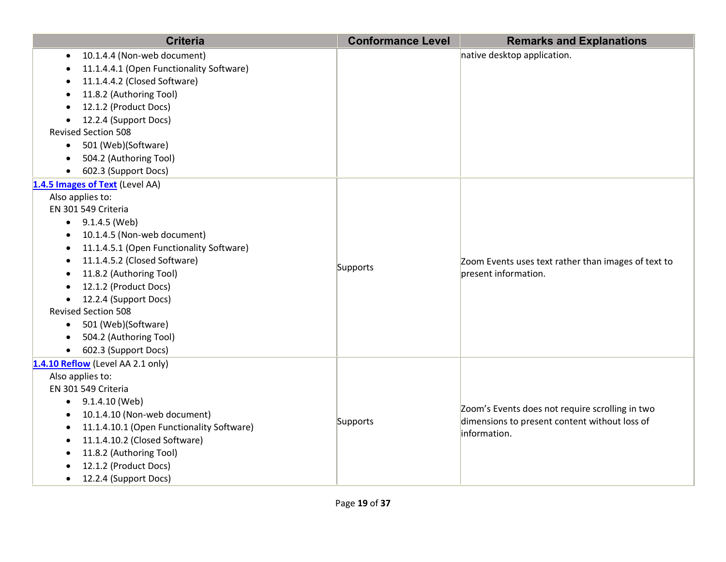| <b>Criteria</b>                                                                                                                                                                                                                                                                                                                                                                                                                                                                    | <b>Conformance Level</b> | <b>Remarks and Explanations</b>                                                                                  |
|------------------------------------------------------------------------------------------------------------------------------------------------------------------------------------------------------------------------------------------------------------------------------------------------------------------------------------------------------------------------------------------------------------------------------------------------------------------------------------|--------------------------|------------------------------------------------------------------------------------------------------------------|
| 10.1.4.4 (Non-web document)<br>11.1.4.4.1 (Open Functionality Software)<br>11.1.4.4.2 (Closed Software)<br>11.8.2 (Authoring Tool)                                                                                                                                                                                                                                                                                                                                                 |                          | native desktop application.                                                                                      |
| 12.1.2 (Product Docs)<br>12.2.4 (Support Docs)<br><b>Revised Section 508</b><br>501 (Web)(Software)<br>$\bullet$                                                                                                                                                                                                                                                                                                                                                                   |                          |                                                                                                                  |
| 504.2 (Authoring Tool)<br>602.3 (Support Docs)                                                                                                                                                                                                                                                                                                                                                                                                                                     |                          |                                                                                                                  |
| 1.4.5 Images of Text (Level AA)<br>Also applies to:<br>EN 301 549 Criteria<br>$\bullet$ 9.1.4.5 (Web)<br>10.1.4.5 (Non-web document)<br>$\bullet$<br>11.1.4.5.1 (Open Functionality Software)<br>$\bullet$<br>11.1.4.5.2 (Closed Software)<br>$\bullet$<br>11.8.2 (Authoring Tool)<br>12.1.2 (Product Docs)<br>12.2.4 (Support Docs)<br><b>Revised Section 508</b><br>501 (Web)(Software)<br>$\bullet$<br>504.2 (Authoring Tool)<br>$\bullet$<br>602.3 (Support Docs)<br>$\bullet$ | Supports                 | Zoom Events uses text rather than images of text to<br>present information.                                      |
| 1.4.10 Reflow (Level AA 2.1 only)<br>Also applies to:<br>EN 301 549 Criteria<br>9.1.4.10 (Web)<br>10.1.4.10 (Non-web document)<br>11.1.4.10.1 (Open Functionality Software)<br>11.1.4.10.2 (Closed Software)<br>$\bullet$<br>11.8.2 (Authoring Tool)<br>$\bullet$<br>12.1.2 (Product Docs)<br>12.2.4 (Support Docs)                                                                                                                                                                | Supports                 | Zoom's Events does not require scrolling in two<br>dimensions to present content without loss of<br>information. |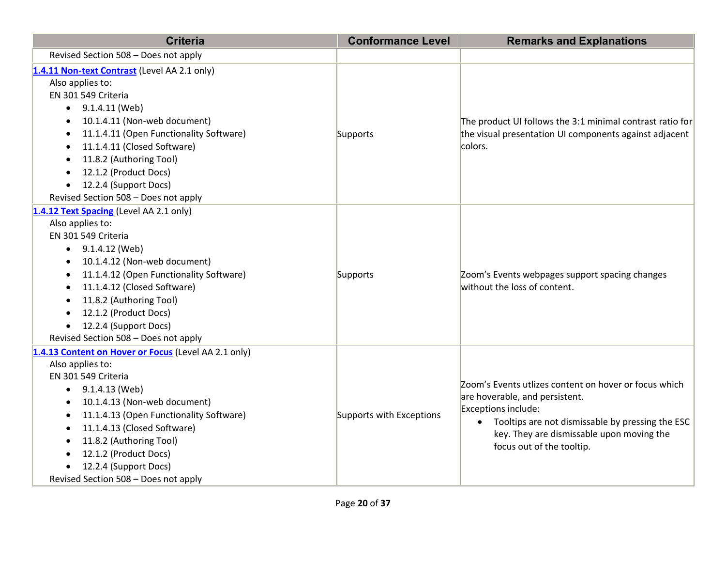| <b>Criteria</b>                                                                                                                                                                                                                                                                                                                                                                         | <b>Conformance Level</b> | <b>Remarks and Explanations</b>                                                                                                                                                                                                                           |
|-----------------------------------------------------------------------------------------------------------------------------------------------------------------------------------------------------------------------------------------------------------------------------------------------------------------------------------------------------------------------------------------|--------------------------|-----------------------------------------------------------------------------------------------------------------------------------------------------------------------------------------------------------------------------------------------------------|
| Revised Section 508 - Does not apply                                                                                                                                                                                                                                                                                                                                                    |                          |                                                                                                                                                                                                                                                           |
| 1.4.11 Non-text Contrast (Level AA 2.1 only)<br>Also applies to:<br>EN 301 549 Criteria<br>9.1.4.11 (Web)<br>$\bullet$<br>10.1.4.11 (Non-web document)<br>11.1.4.11 (Open Functionality Software)<br>11.1.4.11 (Closed Software)<br>11.8.2 (Authoring Tool)<br>12.1.2 (Product Docs)                                                                                                    | Supports                 | The product UI follows the 3:1 minimal contrast ratio for<br>the visual presentation UI components against adjacent<br>colors.                                                                                                                            |
| 12.2.4 (Support Docs)<br>$\bullet$<br>Revised Section 508 - Does not apply                                                                                                                                                                                                                                                                                                              |                          |                                                                                                                                                                                                                                                           |
| 1.4.12 Text Spacing (Level AA 2.1 only)<br>Also applies to:<br>EN 301 549 Criteria<br>$\bullet$ 9.1.4.12 (Web)<br>10.1.4.12 (Non-web document)<br>11.1.4.12 (Open Functionality Software)<br>11.1.4.12 (Closed Software)<br>11.8.2 (Authoring Tool)<br>$\bullet$<br>12.1.2 (Product Docs)<br>$\bullet$<br>12.2.4 (Support Docs)<br>$\bullet$<br>Revised Section 508 - Does not apply    | Supports                 | Zoom's Events webpages support spacing changes<br>without the loss of content.                                                                                                                                                                            |
| 1.4.13 Content on Hover or Focus (Level AA 2.1 only)<br>Also applies to:<br>EN 301 549 Criteria<br>9.1.4.13 (Web)<br>10.1.4.13 (Non-web document)<br>11.1.4.13 (Open Functionality Software)<br>$\bullet$<br>11.1.4.13 (Closed Software)<br>11.8.2 (Authoring Tool)<br>$\bullet$<br>12.1.2 (Product Docs)<br>$\bullet$<br>12.2.4 (Support Docs)<br>Revised Section 508 - Does not apply | Supports with Exceptions | Zoom's Events utlizes content on hover or focus which<br>are hoverable, and persistent.<br>Exceptions include:<br>Tooltips are not dismissable by pressing the ESC<br>$\bullet$<br>key. They are dismissable upon moving the<br>focus out of the tooltip. |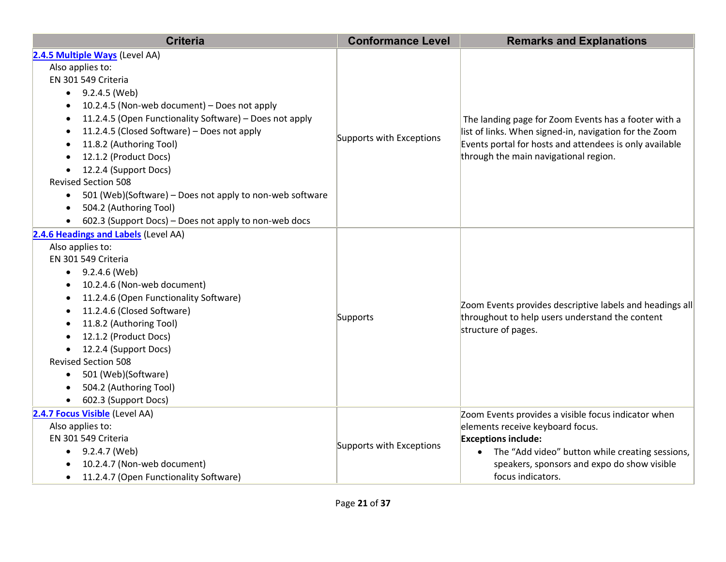| <b>Criteria</b>                                                       | <b>Conformance Level</b> | <b>Remarks and Explanations</b>                                                                                                                                                                                    |
|-----------------------------------------------------------------------|--------------------------|--------------------------------------------------------------------------------------------------------------------------------------------------------------------------------------------------------------------|
| 2.4.5 Multiple Ways (Level AA)                                        |                          |                                                                                                                                                                                                                    |
| Also applies to:                                                      |                          |                                                                                                                                                                                                                    |
| EN 301 549 Criteria                                                   |                          | The landing page for Zoom Events has a footer with a<br>list of links. When signed-in, navigation for the Zoom<br>Events portal for hosts and attendees is only available<br>through the main navigational region. |
| 9.2.4.5 (Web)<br>$\bullet$                                            |                          |                                                                                                                                                                                                                    |
| 10.2.4.5 (Non-web document) - Does not apply<br>$\bullet$             |                          |                                                                                                                                                                                                                    |
| 11.2.4.5 (Open Functionality Software) - Does not apply<br>$\bullet$  |                          |                                                                                                                                                                                                                    |
| 11.2.4.5 (Closed Software) - Does not apply<br>$\bullet$              | Supports with Exceptions |                                                                                                                                                                                                                    |
| 11.8.2 (Authoring Tool)<br>٠                                          |                          |                                                                                                                                                                                                                    |
| 12.1.2 (Product Docs)                                                 |                          |                                                                                                                                                                                                                    |
| 12.2.4 (Support Docs)<br>$\bullet$                                    |                          |                                                                                                                                                                                                                    |
| <b>Revised Section 508</b>                                            |                          |                                                                                                                                                                                                                    |
| 501 (Web)(Software) – Does not apply to non-web software<br>$\bullet$ |                          |                                                                                                                                                                                                                    |
| 504.2 (Authoring Tool)<br>$\bullet$                                   |                          |                                                                                                                                                                                                                    |
| 602.3 (Support Docs) - Does not apply to non-web docs<br>$\bullet$    |                          |                                                                                                                                                                                                                    |
| 2.4.6 Headings and Labels (Level AA)                                  |                          |                                                                                                                                                                                                                    |
| Also applies to:                                                      |                          |                                                                                                                                                                                                                    |
| EN 301 549 Criteria                                                   |                          |                                                                                                                                                                                                                    |
| 9.2.4.6 (Web)<br>$\bullet$                                            |                          |                                                                                                                                                                                                                    |
| 10.2.4.6 (Non-web document)                                           |                          |                                                                                                                                                                                                                    |
| 11.2.4.6 (Open Functionality Software)<br>$\bullet$                   |                          | Zoom Events provides descriptive labels and headings all                                                                                                                                                           |
| 11.2.4.6 (Closed Software)<br>٠                                       | Supports                 | throughout to help users understand the content<br>structure of pages.                                                                                                                                             |
| 11.8.2 (Authoring Tool)<br>$\bullet$                                  |                          |                                                                                                                                                                                                                    |
| 12.1.2 (Product Docs)<br>$\bullet$                                    |                          |                                                                                                                                                                                                                    |
| 12.2.4 (Support Docs)<br>$\bullet$                                    |                          |                                                                                                                                                                                                                    |
| <b>Revised Section 508</b>                                            |                          |                                                                                                                                                                                                                    |
| 501 (Web)(Software)<br>$\bullet$                                      |                          |                                                                                                                                                                                                                    |
| 504.2 (Authoring Tool)                                                |                          |                                                                                                                                                                                                                    |
| 602.3 (Support Docs)<br>$\bullet$                                     |                          |                                                                                                                                                                                                                    |
| 2.4.7 Focus Visible (Level AA)                                        |                          | Zoom Events provides a visible focus indicator when                                                                                                                                                                |
| Also applies to:                                                      |                          | elements receive keyboard focus.                                                                                                                                                                                   |
| EN 301 549 Criteria                                                   | Supports with Exceptions | <b>Exceptions include:</b>                                                                                                                                                                                         |
| 9.2.4.7 (Web)<br>$\bullet$                                            |                          | The "Add video" button while creating sessions,                                                                                                                                                                    |
| 10.2.4.7 (Non-web document)                                           |                          | speakers, sponsors and expo do show visible                                                                                                                                                                        |
| 11.2.4.7 (Open Functionality Software)<br>$\bullet$                   |                          | focus indicators.                                                                                                                                                                                                  |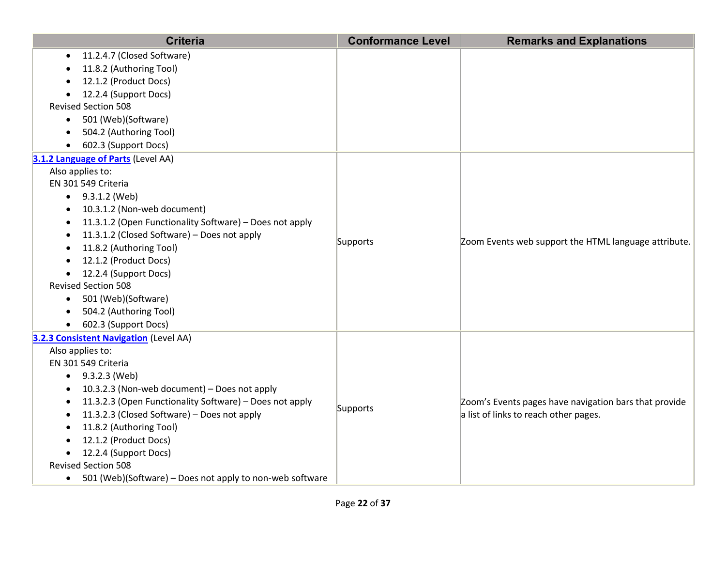| <b>Criteria</b>                                                       | <b>Conformance Level</b> | <b>Remarks and Explanations</b>                       |
|-----------------------------------------------------------------------|--------------------------|-------------------------------------------------------|
| 11.2.4.7 (Closed Software)                                            |                          |                                                       |
| 11.8.2 (Authoring Tool)                                               |                          |                                                       |
| 12.1.2 (Product Docs)                                                 |                          |                                                       |
| 12.2.4 (Support Docs)                                                 |                          |                                                       |
| <b>Revised Section 508</b>                                            |                          |                                                       |
| 501 (Web)(Software)<br>$\bullet$                                      |                          |                                                       |
| 504.2 (Authoring Tool)<br>$\bullet$                                   |                          |                                                       |
| 602.3 (Support Docs)                                                  |                          |                                                       |
| 3.1.2 Language of Parts (Level AA)                                    |                          |                                                       |
| Also applies to:                                                      |                          |                                                       |
| EN 301 549 Criteria                                                   |                          |                                                       |
| $\bullet$ 9.3.1.2 (Web)                                               |                          |                                                       |
| 10.3.1.2 (Non-web document)                                           |                          | Zoom Events web support the HTML language attribute.  |
| 11.3.1.2 (Open Functionality Software) - Does not apply               |                          |                                                       |
| 11.3.1.2 (Closed Software) - Does not apply<br>$\bullet$              | Supports                 |                                                       |
| 11.8.2 (Authoring Tool)                                               |                          |                                                       |
| 12.1.2 (Product Docs)                                                 |                          |                                                       |
| 12.2.4 (Support Docs)<br>$\bullet$                                    |                          |                                                       |
| <b>Revised Section 508</b>                                            |                          |                                                       |
| 501 (Web)(Software)<br>$\bullet$                                      |                          |                                                       |
| 504.2 (Authoring Tool)                                                |                          |                                                       |
| 602.3 (Support Docs)<br>$\bullet$                                     |                          |                                                       |
| 3.2.3 Consistent Navigation (Level AA)                                |                          |                                                       |
| Also applies to:                                                      |                          |                                                       |
| EN 301 549 Criteria                                                   |                          |                                                       |
| $\bullet$ 9.3.2.3 (Web)                                               |                          |                                                       |
| 10.3.2.3 (Non-web document) - Does not apply                          |                          |                                                       |
| 11.3.2.3 (Open Functionality Software) - Does not apply               | Supports                 | Zoom's Events pages have navigation bars that provide |
| 11.3.2.3 (Closed Software) - Does not apply                           |                          | a list of links to reach other pages.                 |
| 11.8.2 (Authoring Tool)                                               |                          |                                                       |
| 12.1.2 (Product Docs)                                                 |                          |                                                       |
| 12.2.4 (Support Docs)<br>$\bullet$                                    |                          |                                                       |
| <b>Revised Section 508</b>                                            |                          |                                                       |
| 501 (Web)(Software) - Does not apply to non-web software<br>$\bullet$ |                          |                                                       |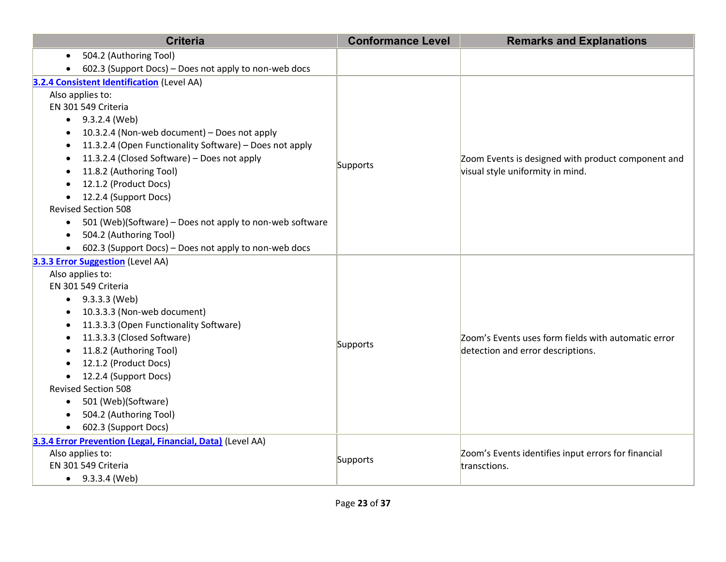| <b>Criteria</b>                                                       | <b>Conformance Level</b> | <b>Remarks and Explanations</b>                                                          |
|-----------------------------------------------------------------------|--------------------------|------------------------------------------------------------------------------------------|
| 504.2 (Authoring Tool)<br>$\bullet$                                   |                          |                                                                                          |
| 602.3 (Support Docs) - Does not apply to non-web docs                 |                          |                                                                                          |
| 3.2.4 Consistent Identification (Level AA)                            |                          |                                                                                          |
| Also applies to:                                                      |                          |                                                                                          |
| EN 301 549 Criteria                                                   |                          |                                                                                          |
| $\bullet$ 9.3.2.4 (Web)                                               |                          |                                                                                          |
| 10.3.2.4 (Non-web document) - Does not apply<br>$\bullet$             |                          |                                                                                          |
| 11.3.2.4 (Open Functionality Software) - Does not apply               |                          |                                                                                          |
| 11.3.2.4 (Closed Software) - Does not apply                           |                          | Zoom Events is designed with product component and                                       |
| 11.8.2 (Authoring Tool)                                               | Supports                 | visual style uniformity in mind.                                                         |
| 12.1.2 (Product Docs)                                                 |                          |                                                                                          |
| 12.2.4 (Support Docs)<br>$\bullet$                                    |                          |                                                                                          |
| <b>Revised Section 508</b>                                            |                          |                                                                                          |
| 501 (Web)(Software) - Does not apply to non-web software<br>$\bullet$ |                          |                                                                                          |
| 504.2 (Authoring Tool)<br>$\bullet$                                   |                          |                                                                                          |
| 602.3 (Support Docs) - Does not apply to non-web docs                 |                          |                                                                                          |
| 3.3.3 Error Suggestion (Level AA)                                     |                          |                                                                                          |
| Also applies to:                                                      |                          |                                                                                          |
| EN 301 549 Criteria                                                   |                          |                                                                                          |
| 9.3.3.3 (Web)<br>$\bullet$                                            |                          |                                                                                          |
| 10.3.3.3 (Non-web document)                                           |                          |                                                                                          |
| 11.3.3.3 (Open Functionality Software)                                |                          |                                                                                          |
| 11.3.3.3 (Closed Software)<br>$\bullet$                               | Supports                 | Zoom's Events uses form fields with automatic error<br>detection and error descriptions. |
| 11.8.2 (Authoring Tool)                                               |                          |                                                                                          |
| 12.1.2 (Product Docs)                                                 |                          |                                                                                          |
| 12.2.4 (Support Docs)<br>$\bullet$                                    |                          |                                                                                          |
| <b>Revised Section 508</b>                                            |                          |                                                                                          |
| 501 (Web)(Software)<br>$\bullet$                                      |                          |                                                                                          |
| 504.2 (Authoring Tool)                                                |                          |                                                                                          |
| 602.3 (Support Docs)                                                  |                          |                                                                                          |
| 3.3.4 Error Prevention (Legal, Financial, Data) (Level AA)            |                          |                                                                                          |
| Also applies to:                                                      | Supports                 | Zoom's Events identifies input errors for financial                                      |
| EN 301 549 Criteria                                                   |                          | transctions.                                                                             |
| $\bullet$ 9.3.3.4 (Web)                                               |                          |                                                                                          |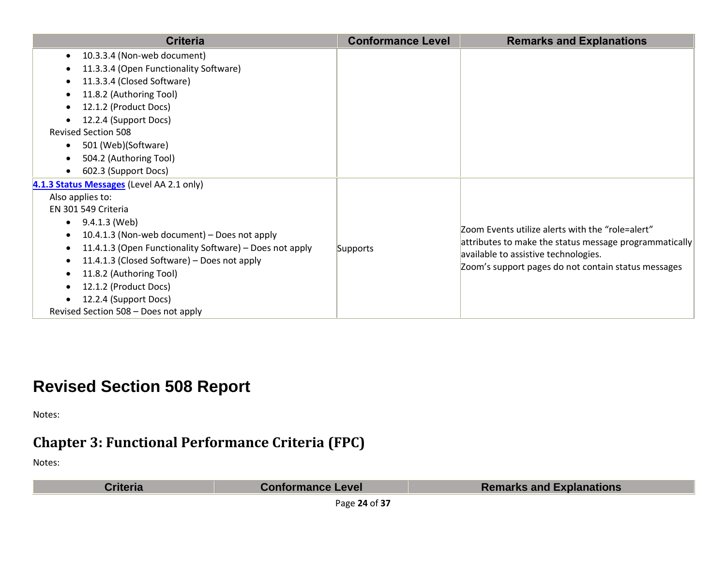| <b>Criteria</b>                                         | <b>Conformance Level</b> | <b>Remarks and Explanations</b>                                                             |
|---------------------------------------------------------|--------------------------|---------------------------------------------------------------------------------------------|
| 10.3.3.4 (Non-web document)<br>$\bullet$                |                          |                                                                                             |
| 11.3.3.4 (Open Functionality Software)                  |                          |                                                                                             |
| 11.3.3.4 (Closed Software)                              |                          |                                                                                             |
| 11.8.2 (Authoring Tool)                                 |                          |                                                                                             |
| 12.1.2 (Product Docs)                                   |                          |                                                                                             |
| 12.2.4 (Support Docs)                                   |                          |                                                                                             |
| <b>Revised Section 508</b>                              |                          |                                                                                             |
| 501 (Web)(Software)                                     |                          |                                                                                             |
| 504.2 (Authoring Tool)                                  |                          |                                                                                             |
| 602.3 (Support Docs)                                    |                          |                                                                                             |
| 4.1.3 Status Messages (Level AA 2.1 only)               |                          |                                                                                             |
| Also applies to:                                        |                          |                                                                                             |
| EN 301 549 Criteria                                     |                          |                                                                                             |
| 9.4.1.3 (Web)                                           |                          |                                                                                             |
| 10.4.1.3 (Non-web document) – Does not apply            |                          | Zoom Events utilize alerts with the "role=alert"                                            |
| 11.4.1.3 (Open Functionality Software) - Does not apply | Supports                 | attributes to make the status message programmatically                                      |
| 11.4.1.3 (Closed Software) – Does not apply             |                          | available to assistive technologies.<br>Zoom's support pages do not contain status messages |
| 11.8.2 (Authoring Tool)                                 |                          |                                                                                             |
| 12.1.2 (Product Docs)                                   |                          |                                                                                             |
| 12.2.4 (Support Docs)                                   |                          |                                                                                             |
| Revised Section 508 - Does not apply                    |                          |                                                                                             |

### **Revised Section 508 Report**

Notes:

### **Chapter 3: Functional Performance Criteria (FPC)**

Notes:

**Criteria Conformance Level Remarks and Explanations** 

Page **24** of **37**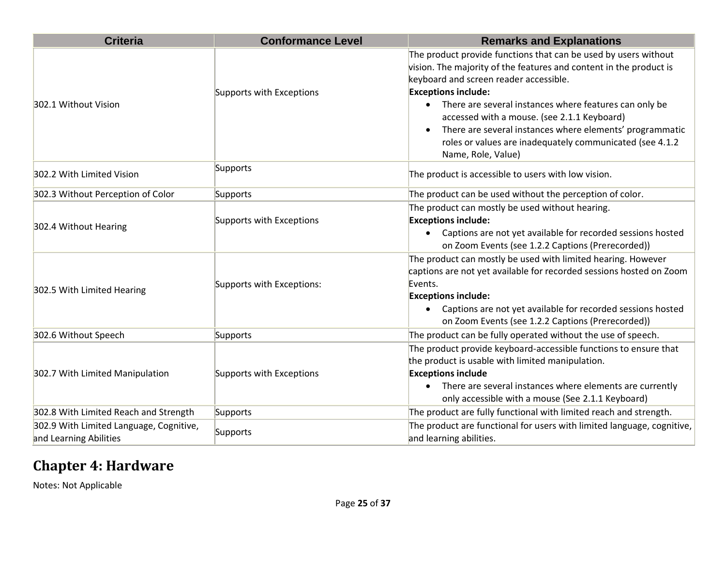| <b>Criteria</b>                                                   | <b>Conformance Level</b>  | <b>Remarks and Explanations</b>                                                                                                                                                                                                                                                                                                                                                                                                                                      |
|-------------------------------------------------------------------|---------------------------|----------------------------------------------------------------------------------------------------------------------------------------------------------------------------------------------------------------------------------------------------------------------------------------------------------------------------------------------------------------------------------------------------------------------------------------------------------------------|
| 302.1 Without Vision                                              | Supports with Exceptions  | The product provide functions that can be used by users without<br>vision. The majority of the features and content in the product is<br>keyboard and screen reader accessible.<br><b>Exceptions include:</b><br>There are several instances where features can only be<br>accessed with a mouse. (see 2.1.1 Keyboard)<br>There are several instances where elements' programmatic<br>roles or values are inadequately communicated (see 4.1.2<br>Name, Role, Value) |
| 302.2 With Limited Vision                                         | Supports                  | The product is accessible to users with low vision.                                                                                                                                                                                                                                                                                                                                                                                                                  |
| 302.3 Without Perception of Color                                 | Supports                  | The product can be used without the perception of color.                                                                                                                                                                                                                                                                                                                                                                                                             |
| 302.4 Without Hearing                                             | Supports with Exceptions  | The product can mostly be used without hearing.<br><b>Exceptions include:</b><br>Captions are not yet available for recorded sessions hosted<br>on Zoom Events (see 1.2.2 Captions (Prerecorded))                                                                                                                                                                                                                                                                    |
| 302.5 With Limited Hearing                                        | Supports with Exceptions: | The product can mostly be used with limited hearing. However<br>captions are not yet available for recorded sessions hosted on Zoom<br>Events.<br><b>Exceptions include:</b><br>Captions are not yet available for recorded sessions hosted<br>on Zoom Events (see 1.2.2 Captions (Prerecorded))                                                                                                                                                                     |
| 302.6 Without Speech                                              | Supports                  | The product can be fully operated without the use of speech.                                                                                                                                                                                                                                                                                                                                                                                                         |
| 302.7 With Limited Manipulation                                   | Supports with Exceptions  | The product provide keyboard-accessible functions to ensure that<br>the product is usable with limited manipulation.<br><b>Exceptions include</b><br>There are several instances where elements are currently<br>only accessible with a mouse (See 2.1.1 Keyboard)                                                                                                                                                                                                   |
| 302.8 With Limited Reach and Strength                             | Supports                  | The product are fully functional with limited reach and strength.                                                                                                                                                                                                                                                                                                                                                                                                    |
| 302.9 With Limited Language, Cognitive,<br>and Learning Abilities | Supports                  | The product are functional for users with limited language, cognitive,<br>and learning abilities.                                                                                                                                                                                                                                                                                                                                                                    |

### **Chapter 4: Hardware**

Notes: Not Applicable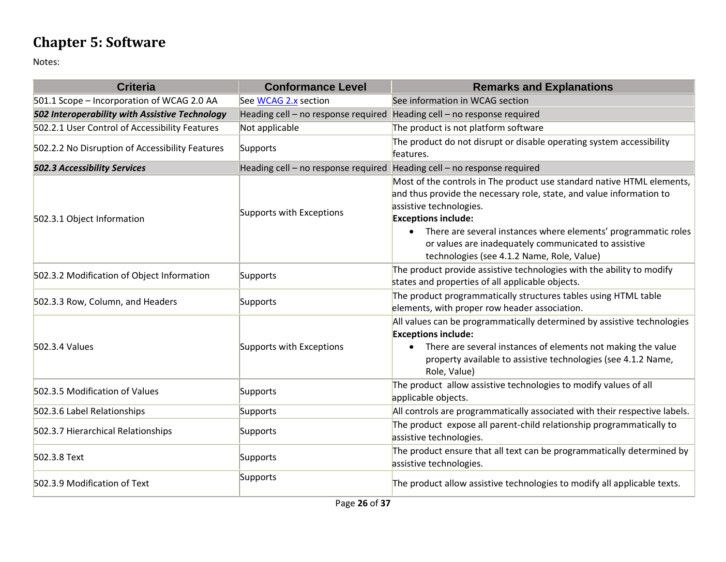### **Chapter 5: Software**

| <b>Criteria</b>                                 | <b>Conformance Level</b>                                                | <b>Remarks and Explanations</b>                                                                                                                                                                                                                                                                                                                                                              |
|-------------------------------------------------|-------------------------------------------------------------------------|----------------------------------------------------------------------------------------------------------------------------------------------------------------------------------------------------------------------------------------------------------------------------------------------------------------------------------------------------------------------------------------------|
| 501.1 Scope - Incorporation of WCAG 2.0 AA      | See WCAG 2.x section                                                    | See information in WCAG section                                                                                                                                                                                                                                                                                                                                                              |
| 502 Interoperability with Assistive Technology  | Heading cell - no response required Heading cell - no response required |                                                                                                                                                                                                                                                                                                                                                                                              |
| 502.2.1 User Control of Accessibility Features  | Not applicable                                                          | The product is not platform software                                                                                                                                                                                                                                                                                                                                                         |
| 502.2.2 No Disruption of Accessibility Features | Supports                                                                | The product do not disrupt or disable operating system accessibility<br>features.                                                                                                                                                                                                                                                                                                            |
| <b>502.3 Accessibility Services</b>             | Heading cell - no response required                                     | Heading cell - no response required                                                                                                                                                                                                                                                                                                                                                          |
| 502.3.1 Object Information                      | Supports with Exceptions                                                | Most of the controls in The product use standard native HTML elements,<br>and thus provide the necessary role, state, and value information to<br>assistive technologies.<br><b>Exceptions include:</b><br>There are several instances where elements' programmatic roles<br>$\bullet$<br>or values are inadequately communicated to assistive<br>technologies (see 4.1.2 Name, Role, Value) |
| 502.3.2 Modification of Object Information      | Supports                                                                | The product provide assistive technologies with the ability to modify<br>states and properties of all applicable objects.                                                                                                                                                                                                                                                                    |
| 502.3.3 Row, Column, and Headers                | Supports                                                                | The product programmatically structures tables using HTML table<br>elements, with proper row header association.                                                                                                                                                                                                                                                                             |
| 502.3.4 Values                                  | Supports with Exceptions                                                | All values can be programmatically determined by assistive technologies<br><b>Exceptions include:</b><br>There are several instances of elements not making the value<br>property available to assistive technologies (see 4.1.2 Name,<br>Role, Value)                                                                                                                                       |
| 502.3.5 Modification of Values                  | Supports                                                                | The product allow assistive technologies to modify values of all<br>applicable objects.                                                                                                                                                                                                                                                                                                      |
| 502.3.6 Label Relationships                     | Supports                                                                | All controls are programmatically associated with their respective labels.                                                                                                                                                                                                                                                                                                                   |
| 502.3.7 Hierarchical Relationships              | Supports                                                                | The product expose all parent-child relationship programmatically to<br>assistive technologies.                                                                                                                                                                                                                                                                                              |
| 502.3.8 Text                                    | Supports                                                                | The product ensure that all text can be programmatically determined by<br>assistive technologies.                                                                                                                                                                                                                                                                                            |
| 502.3.9 Modification of Text                    | Supports                                                                | The product allow assistive technologies to modify all applicable texts.                                                                                                                                                                                                                                                                                                                     |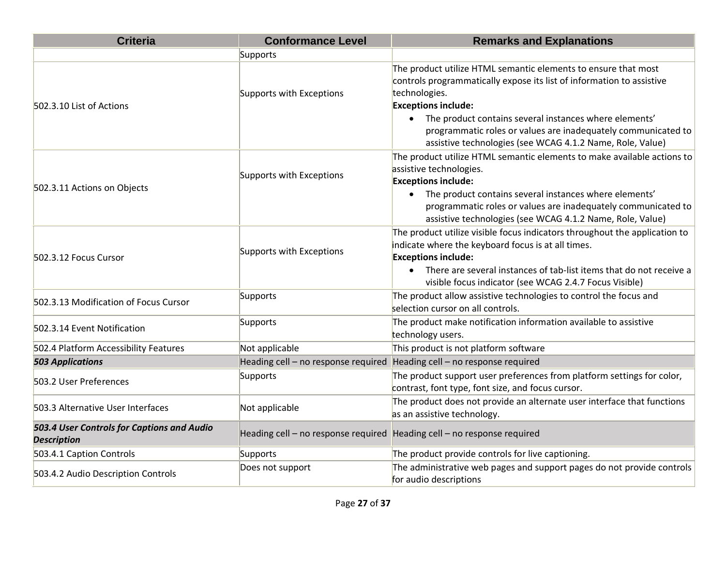| <b>Criteria</b>                                                  | <b>Conformance Level</b>            | <b>Remarks and Explanations</b>                                                                                                                                                                                                                                                                                                                                                  |
|------------------------------------------------------------------|-------------------------------------|----------------------------------------------------------------------------------------------------------------------------------------------------------------------------------------------------------------------------------------------------------------------------------------------------------------------------------------------------------------------------------|
|                                                                  | Supports                            |                                                                                                                                                                                                                                                                                                                                                                                  |
| 502.3.10 List of Actions                                         | Supports with Exceptions            | The product utilize HTML semantic elements to ensure that most<br>controls programmatically expose its list of information to assistive<br>technologies.<br><b>Exceptions include:</b><br>• The product contains several instances where elements'<br>programmatic roles or values are inadequately communicated to<br>assistive technologies (see WCAG 4.1.2 Name, Role, Value) |
| 502.3.11 Actions on Objects                                      | Supports with Exceptions            | The product utilize HTML semantic elements to make available actions to<br>assistive technologies.<br><b>Exceptions include:</b><br>• The product contains several instances where elements'<br>programmatic roles or values are inadequately communicated to<br>assistive technologies (see WCAG 4.1.2 Name, Role, Value)                                                       |
| 502.3.12 Focus Cursor                                            | Supports with Exceptions            | The product utilize visible focus indicators throughout the application to<br>indicate where the keyboard focus is at all times.<br><b>Exceptions include:</b><br>• There are several instances of tab-list items that do not receive a<br>visible focus indicator (see WCAG 2.4.7 Focus Visible)                                                                                |
| 502.3.13 Modification of Focus Cursor                            | Supports                            | The product allow assistive technologies to control the focus and<br>selection cursor on all controls.                                                                                                                                                                                                                                                                           |
| 502.3.14 Event Notification                                      | Supports                            | The product make notification information available to assistive<br>technology users.                                                                                                                                                                                                                                                                                            |
| 502.4 Platform Accessibility Features                            | Not applicable                      | This product is not platform software                                                                                                                                                                                                                                                                                                                                            |
| <b>503 Applications</b>                                          | Heading cell - no response required | Heading cell - no response required                                                                                                                                                                                                                                                                                                                                              |
| 503.2 User Preferences                                           | Supports                            | The product support user preferences from platform settings for color,<br>contrast, font type, font size, and focus cursor.                                                                                                                                                                                                                                                      |
| 503.3 Alternative User Interfaces                                | Not applicable                      | The product does not provide an alternate user interface that functions<br>as an assistive technology.                                                                                                                                                                                                                                                                           |
| 503.4 User Controls for Captions and Audio<br><b>Description</b> | Heading cell - no response required | Heading cell - no response required                                                                                                                                                                                                                                                                                                                                              |
| 503.4.1 Caption Controls                                         | Supports                            | The product provide controls for live captioning.                                                                                                                                                                                                                                                                                                                                |
| 503.4.2 Audio Description Controls                               | Does not support                    | The administrative web pages and support pages do not provide controls<br>for audio descriptions                                                                                                                                                                                                                                                                                 |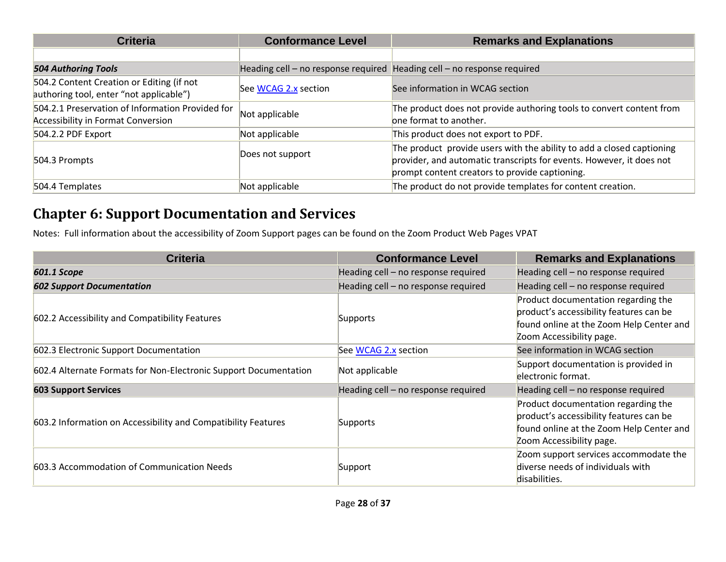| <b>Criteria</b>                                                                               | <b>Conformance Level</b>                                                | <b>Remarks and Explanations</b>                                                                                                                                                                 |
|-----------------------------------------------------------------------------------------------|-------------------------------------------------------------------------|-------------------------------------------------------------------------------------------------------------------------------------------------------------------------------------------------|
|                                                                                               |                                                                         |                                                                                                                                                                                                 |
| <b>504 Authoring Tools</b>                                                                    | Heading cell – no response required Heading cell – no response required |                                                                                                                                                                                                 |
| 504.2 Content Creation or Editing (if not<br>authoring tool, enter "not applicable")          | See WCAG 2.x section                                                    | See information in WCAG section                                                                                                                                                                 |
| 504.2.1 Preservation of Information Provided for<br><b>Accessibility in Format Conversion</b> | Not applicable                                                          | The product does not provide authoring tools to convert content from<br>one format to another.                                                                                                  |
| 504.2.2 PDF Export                                                                            | Not applicable                                                          | This product does not export to PDF.                                                                                                                                                            |
| 504.3 Prompts                                                                                 | Does not support                                                        | The product provide users with the ability to add a closed captioning<br>provider, and automatic transcripts for events. However, it does not<br>prompt content creators to provide captioning. |
| 504.4 Templates                                                                               | Not applicable                                                          | The product do not provide templates for content creation.                                                                                                                                      |

### **Chapter 6: Support Documentation and Services**

Notes: Full information about the accessibility of Zoom Support pages can be found on the Zoom Product Web Pages VPAT

| <b>Criteria</b>                                                  | <b>Conformance Level</b>            | <b>Remarks and Explanations</b>                                                                                                                        |
|------------------------------------------------------------------|-------------------------------------|--------------------------------------------------------------------------------------------------------------------------------------------------------|
| <b>601.1 Scope</b>                                               | Heading cell - no response required | Heading cell - no response required                                                                                                                    |
| <b>602 Support Documentation</b>                                 | Heading cell - no response required | Heading cell - no response required                                                                                                                    |
| 602.2 Accessibility and Compatibility Features                   | Supports                            | Product documentation regarding the<br>product's accessibility features can be<br>found online at the Zoom Help Center and<br>Zoom Accessibility page. |
| 602.3 Electronic Support Documentation                           | See WCAG 2.x section                | See information in WCAG section                                                                                                                        |
| 602.4 Alternate Formats for Non-Electronic Support Documentation | Not applicable                      | Support documentation is provided in<br>electronic format.                                                                                             |
| <b>603 Support Services</b>                                      | Heading cell - no response required | Heading cell - no response required                                                                                                                    |
| 603.2 Information on Accessibility and Compatibility Features    | Supports                            | Product documentation regarding the<br>product's accessibility features can be<br>found online at the Zoom Help Center and<br>Zoom Accessibility page. |
| 603.3 Accommodation of Communication Needs                       | Support                             | Zoom support services accommodate the<br>diverse needs of individuals with<br>disabilities.                                                            |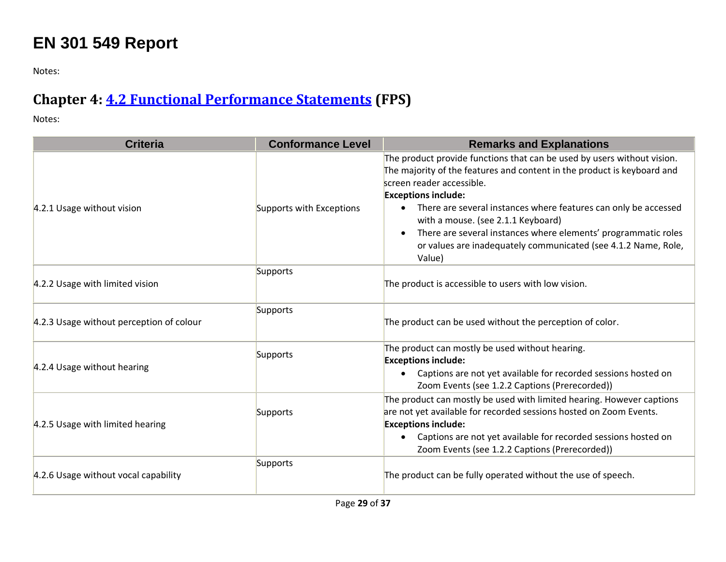### **EN 301 549 Report**

Notes:

### **Chapter 4: [4.2 Functional Performance Statements](http://www.etsi.org/deliver/etsi_en/301500_301599/301549/01.01.02_60/en_301549v010102p.pdf#page=22) (FPS)**

| <b>Criteria</b>                          | <b>Conformance Level</b> | <b>Remarks and Explanations</b>                                                                                                                                                                                                                                                               |
|------------------------------------------|--------------------------|-----------------------------------------------------------------------------------------------------------------------------------------------------------------------------------------------------------------------------------------------------------------------------------------------|
| 4.2.1 Usage without vision               | Supports with Exceptions | The product provide functions that can be used by users without vision.<br>The majority of the features and content in the product is keyboard and<br>screen reader accessible.<br><b>Exceptions include:</b><br>There are several instances where features can only be accessed              |
|                                          |                          | with a mouse. (see 2.1.1 Keyboard)<br>There are several instances where elements' programmatic roles<br>or values are inadequately communicated (see 4.1.2 Name, Role,<br>Value)                                                                                                              |
| 4.2.2 Usage with limited vision          | Supports                 | The product is accessible to users with low vision.                                                                                                                                                                                                                                           |
| 4.2.3 Usage without perception of colour | Supports                 | The product can be used without the perception of color.                                                                                                                                                                                                                                      |
| 4.2.4 Usage without hearing              | Supports                 | The product can mostly be used without hearing.<br><b>Exceptions include:</b><br>Captions are not yet available for recorded sessions hosted on<br>Zoom Events (see 1.2.2 Captions (Prerecorded))                                                                                             |
| 4.2.5 Usage with limited hearing         | Supports                 | The product can mostly be used with limited hearing. However captions<br>are not yet available for recorded sessions hosted on Zoom Events.<br><b>Exceptions include:</b><br>Captions are not yet available for recorded sessions hosted on<br>Zoom Events (see 1.2.2 Captions (Prerecorded)) |
| 4.2.6 Usage without vocal capability     | Supports                 | The product can be fully operated without the use of speech.                                                                                                                                                                                                                                  |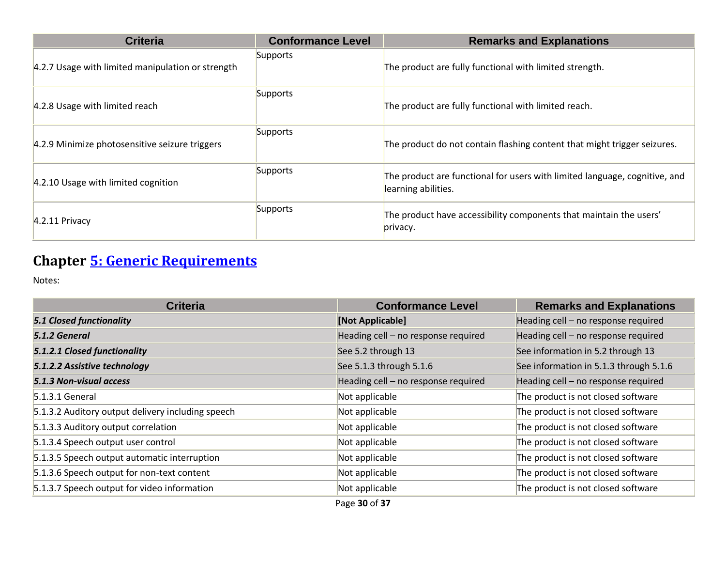| <b>Criteria</b>                                   | <b>Conformance Level</b> | <b>Remarks and Explanations</b>                                                                   |
|---------------------------------------------------|--------------------------|---------------------------------------------------------------------------------------------------|
| 4.2.7 Usage with limited manipulation or strength | Supports                 | The product are fully functional with limited strength.                                           |
| 4.2.8 Usage with limited reach                    | Supports                 | The product are fully functional with limited reach.                                              |
| 4.2.9 Minimize photosensitive seizure triggers    | Supports                 | The product do not contain flashing content that might trigger seizures.                          |
| 4.2.10 Usage with limited cognition               | Supports                 | The product are functional for users with limited language, cognitive, and<br>learning abilities. |
| $4.2.11$ Privacy                                  | Supports                 | The product have accessibility components that maintain the users'<br>privacy.                    |

### **Chapter [5: Generic Requirements](http://www.etsi.org/deliver/etsi_en/301500_301599/301549/01.01.02_60/en_301549v010102p.pdf#page=23)**

| <b>Criteria</b>                                   | <b>Conformance Level</b>            | <b>Remarks and Explanations</b>        |
|---------------------------------------------------|-------------------------------------|----------------------------------------|
| <b>5.1 Closed functionality</b>                   | [Not Applicable]                    | Heading cell - no response required    |
| 5.1.2 General                                     | Heading cell - no response required | Heading cell - no response required    |
| 5.1.2.1 Closed functionality                      | See 5.2 through 13                  | See information in 5.2 through 13      |
| 5.1.2.2 Assistive technology                      | See 5.1.3 through 5.1.6             | See information in 5.1.3 through 5.1.6 |
| 5.1.3 Non-visual access                           | Heading cell - no response required | Heading cell - no response required    |
| $5.1.3.1$ General                                 | Not applicable                      | The product is not closed software     |
| 5.1.3.2 Auditory output delivery including speech | Not applicable                      | The product is not closed software     |
| 5.1.3.3 Auditory output correlation               | Not applicable                      | The product is not closed software     |
| 5.1.3.4 Speech output user control                | Not applicable                      | The product is not closed software     |
| 5.1.3.5 Speech output automatic interruption      | Not applicable                      | The product is not closed software     |
| 5.1.3.6 Speech output for non-text content        | Not applicable                      | The product is not closed software     |
| 5.1.3.7 Speech output for video information       | Not applicable<br>.                 | The product is not closed software     |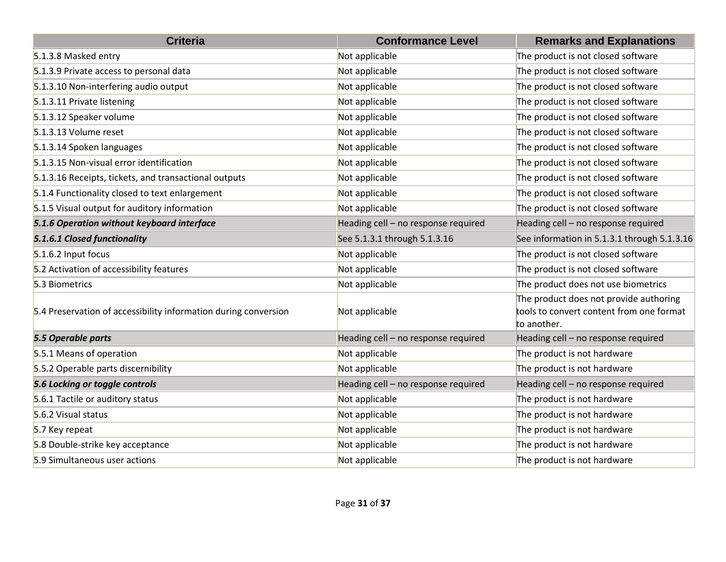| <b>Criteria</b>                                                 | <b>Conformance Level</b>            | <b>Remarks and Explanations</b>                                                                   |
|-----------------------------------------------------------------|-------------------------------------|---------------------------------------------------------------------------------------------------|
| 5.1.3.8 Masked entry                                            | Not applicable                      | The product is not closed software                                                                |
| 5.1.3.9 Private access to personal data                         | Not applicable                      | The product is not closed software                                                                |
| 5.1.3.10 Non-interfering audio output                           | Not applicable                      | The product is not closed software                                                                |
| 5.1.3.11 Private listening                                      | Not applicable                      | The product is not closed software                                                                |
| 5.1.3.12 Speaker volume                                         | Not applicable                      | The product is not closed software                                                                |
| 5.1.3.13 Volume reset                                           | Not applicable                      | The product is not closed software                                                                |
| 5.1.3.14 Spoken languages                                       | Not applicable                      | The product is not closed software                                                                |
| 5.1.3.15 Non-visual error identification                        | Not applicable                      | The product is not closed software                                                                |
| 5.1.3.16 Receipts, tickets, and transactional outputs           | Not applicable                      | The product is not closed software                                                                |
| 5.1.4 Functionality closed to text enlargement                  | Not applicable                      | The product is not closed software                                                                |
| 5.1.5 Visual output for auditory information                    | Not applicable                      | The product is not closed software                                                                |
| 5.1.6 Operation without keyboard interface                      | Heading cell - no response required | Heading cell - no response required                                                               |
| 5.1.6.1 Closed functionality                                    | See 5.1.3.1 through 5.1.3.16        | See information in 5.1.3.1 through 5.1.3.16                                                       |
| 5.1.6.2 Input focus                                             | Not applicable                      | The product is not closed software                                                                |
| 5.2 Activation of accessibility features                        | Not applicable                      | The product is not closed software                                                                |
| 5.3 Biometrics                                                  | Not applicable                      | The product does not use biometrics                                                               |
| 5.4 Preservation of accessibility information during conversion | Not applicable                      | The product does not provide authoring<br>tools to convert content from one format<br>to another. |
| 5.5 Operable parts                                              | Heading cell - no response required | Heading cell - no response required                                                               |
| 5.5.1 Means of operation                                        | Not applicable                      | The product is not hardware                                                                       |
| 5.5.2 Operable parts discernibility                             | Not applicable                      | The product is not hardware                                                                       |
| 5.6 Locking or toggle controls                                  | Heading cell - no response required | Heading cell - no response required                                                               |
| 5.6.1 Tactile or auditory status                                | Not applicable                      | The product is not hardware                                                                       |
| 5.6.2 Visual status                                             | Not applicable                      | The product is not hardware                                                                       |
| 5.7 Key repeat                                                  | Not applicable                      | The product is not hardware                                                                       |
| 5.8 Double-strike key acceptance                                | Not applicable                      | The product is not hardware                                                                       |
| 5.9 Simultaneous user actions                                   | Not applicable                      | The product is not hardware                                                                       |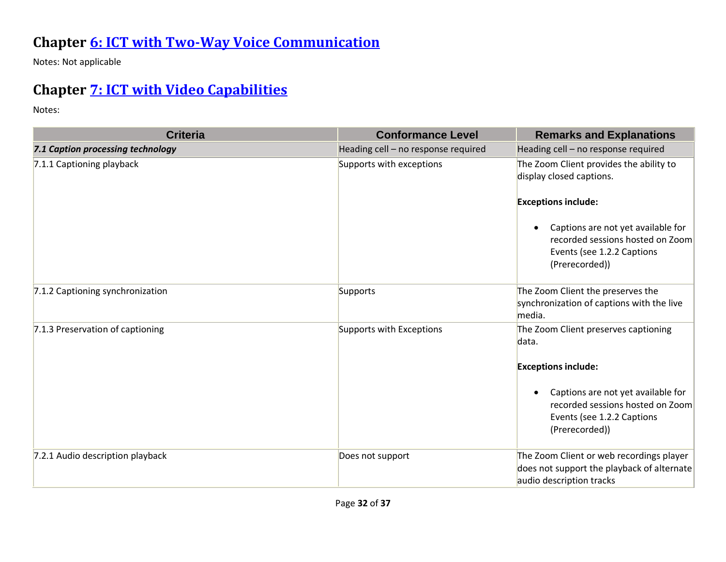### **Chapter [6: ICT with Two-Way Voice Communication](http://www.etsi.org/deliver/etsi_en/301500_301599/301549/01.01.02_60/en_301549v010102p.pdf#page=28)**

Notes: Not applicable

### **Chapter [7: ICT with Video Capabilities](http://www.etsi.org/deliver/etsi_en/301500_301599/301549/01.01.02_60/en_301549v010102p.pdf#page=31)**

| <b>Criteria</b>                   | <b>Conformance Level</b>            | <b>Remarks and Explanations</b>                                                                                        |
|-----------------------------------|-------------------------------------|------------------------------------------------------------------------------------------------------------------------|
| 7.1 Caption processing technology | Heading cell - no response required | Heading cell - no response required                                                                                    |
| 7.1.1 Captioning playback         | Supports with exceptions            | The Zoom Client provides the ability to<br>display closed captions.                                                    |
|                                   |                                     | <b>Exceptions include:</b>                                                                                             |
|                                   |                                     | Captions are not yet available for<br>recorded sessions hosted on Zoom<br>Events (see 1.2.2 Captions<br>(Prerecorded)) |
| 7.1.2 Captioning synchronization  | Supports                            | The Zoom Client the preserves the<br>synchronization of captions with the live<br>media.                               |
| 7.1.3 Preservation of captioning  | Supports with Exceptions            | The Zoom Client preserves captioning<br>data.                                                                          |
|                                   |                                     | <b>Exceptions include:</b>                                                                                             |
|                                   |                                     | Captions are not yet available for<br>recorded sessions hosted on Zoom<br>Events (see 1.2.2 Captions<br>(Prerecorded)) |
| 7.2.1 Audio description playback  | Does not support                    | The Zoom Client or web recordings player<br>does not support the playback of alternate<br>audio description tracks     |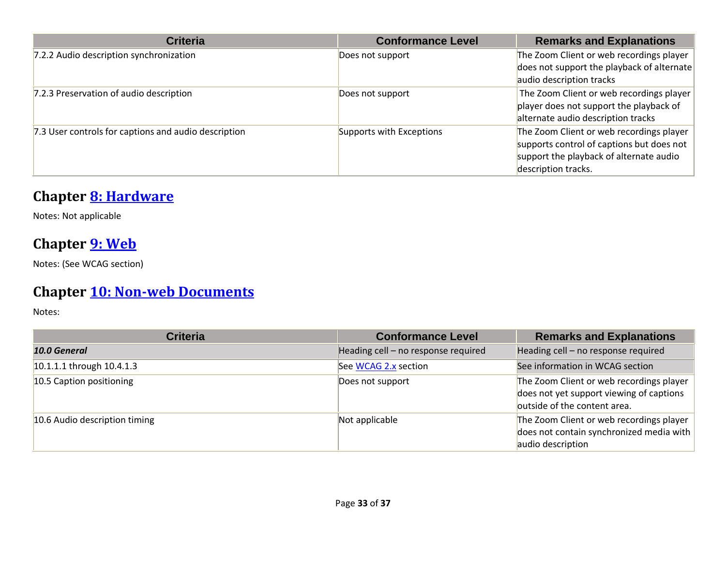| <b>Criteria</b>                                      | <b>Conformance Level</b> | <b>Remarks and Explanations</b>            |
|------------------------------------------------------|--------------------------|--------------------------------------------|
| 7.2.2 Audio description synchronization              | Does not support         | The Zoom Client or web recordings player   |
|                                                      |                          | does not support the playback of alternate |
|                                                      |                          | audio description tracks                   |
| 7.2.3 Preservation of audio description              | Does not support         | The Zoom Client or web recordings player   |
|                                                      |                          | player does not support the playback of    |
|                                                      |                          | alternate audio description tracks         |
| 7.3 User controls for captions and audio description | Supports with Exceptions | The Zoom Client or web recordings player   |
|                                                      |                          | supports control of captions but does not  |
|                                                      |                          | support the playback of alternate audio    |
|                                                      |                          | description tracks.                        |

### **Chapter [8: Hardware](http://www.etsi.org/deliver/etsi_en/301500_301599/301549/01.01.02_60/en_301549v010102p.pdf#page=32)**

Notes: Not applicable

#### **Chapter [9: Web](http://www.etsi.org/deliver/etsi_en/301500_301599/301549/01.01.02_60/en_301549v010102p.pdf#page=39)**

Notes: (See WCAG section)

### **Chapter [10: Non-web Documents](http://www.etsi.org/deliver/etsi_en/301500_301599/301549/01.01.02_60/en_301549v010102p.pdf#page=43)**

| <b>Criteria</b>               | <b>Conformance Level</b>            | <b>Remarks and Explanations</b>                                                                                      |
|-------------------------------|-------------------------------------|----------------------------------------------------------------------------------------------------------------------|
| 10.0 General                  | Heading cell - no response required | Heading cell - no response required                                                                                  |
| 10.1.1.1 through 10.4.1.3     | See WCAG 2.x section                | See information in WCAG section                                                                                      |
| 10.5 Caption positioning      | Does not support                    | The Zoom Client or web recordings player<br>does not yet support viewing of captions<br>outside of the content area. |
| 10.6 Audio description timing | Not applicable                      | The Zoom Client or web recordings player<br>does not contain synchronized media with<br>audio description            |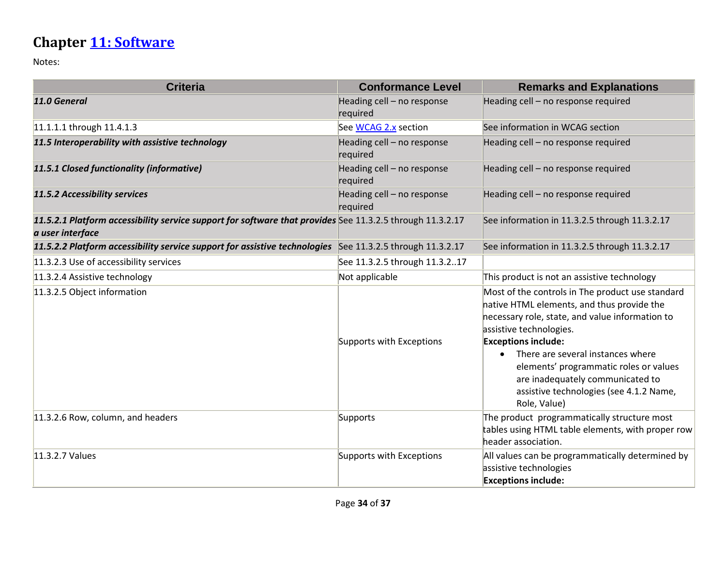### **Chapter [11: Software](http://www.etsi.org/deliver/etsi_en/301500_301599/301549/01.01.02_60/en_301549v010102p.pdf#page=53)**

| <b>Criteria</b>                                                                                                               | <b>Conformance Level</b>               | <b>Remarks and Explanations</b>                                                                                                                                                                                                                                                                                                                                                                       |
|-------------------------------------------------------------------------------------------------------------------------------|----------------------------------------|-------------------------------------------------------------------------------------------------------------------------------------------------------------------------------------------------------------------------------------------------------------------------------------------------------------------------------------------------------------------------------------------------------|
| 11.0 General                                                                                                                  | Heading cell - no response<br>required | Heading cell - no response required                                                                                                                                                                                                                                                                                                                                                                   |
| 11.1.1.1 through 11.4.1.3                                                                                                     | See WCAG 2.x section                   | See information in WCAG section                                                                                                                                                                                                                                                                                                                                                                       |
| 11.5 Interoperability with assistive technology                                                                               | Heading cell - no response<br>required | Heading cell - no response required                                                                                                                                                                                                                                                                                                                                                                   |
| 11.5.1 Closed functionality (informative)                                                                                     | Heading cell - no response<br>required | Heading cell - no response required                                                                                                                                                                                                                                                                                                                                                                   |
| 11.5.2 Accessibility services                                                                                                 | Heading cell - no response<br>required | Heading cell - no response required                                                                                                                                                                                                                                                                                                                                                                   |
| 11.5.2.1 Platform accessibility service support for software that provides See 11.3.2.5 through 11.3.2.17<br>a user interface |                                        | See information in 11.3.2.5 through 11.3.2.17                                                                                                                                                                                                                                                                                                                                                         |
| 11.5.2.2 Platform accessibility service support for assistive technologies                                                    | See 11.3.2.5 through 11.3.2.17         | See information in 11.3.2.5 through 11.3.2.17                                                                                                                                                                                                                                                                                                                                                         |
| 11.3.2.3 Use of accessibility services                                                                                        | See 11.3.2.5 through 11.3.217          |                                                                                                                                                                                                                                                                                                                                                                                                       |
| 11.3.2.4 Assistive technology                                                                                                 | Not applicable                         | This product is not an assistive technology                                                                                                                                                                                                                                                                                                                                                           |
| 11.3.2.5 Object information                                                                                                   | Supports with Exceptions               | Most of the controls in The product use standard<br>native HTML elements, and thus provide the<br>necessary role, state, and value information to<br>assistive technologies.<br><b>Exceptions include:</b><br>There are several instances where<br>$\bullet$<br>elements' programmatic roles or values<br>are inadequately communicated to<br>assistive technologies (see 4.1.2 Name,<br>Role, Value) |
| 11.3.2.6 Row, column, and headers                                                                                             | Supports                               | The product programmatically structure most<br>tables using HTML table elements, with proper row<br>header association.                                                                                                                                                                                                                                                                               |
| 11.3.2.7 Values                                                                                                               | Supports with Exceptions               | All values can be programmatically determined by<br>assistive technologies<br><b>Exceptions include:</b>                                                                                                                                                                                                                                                                                              |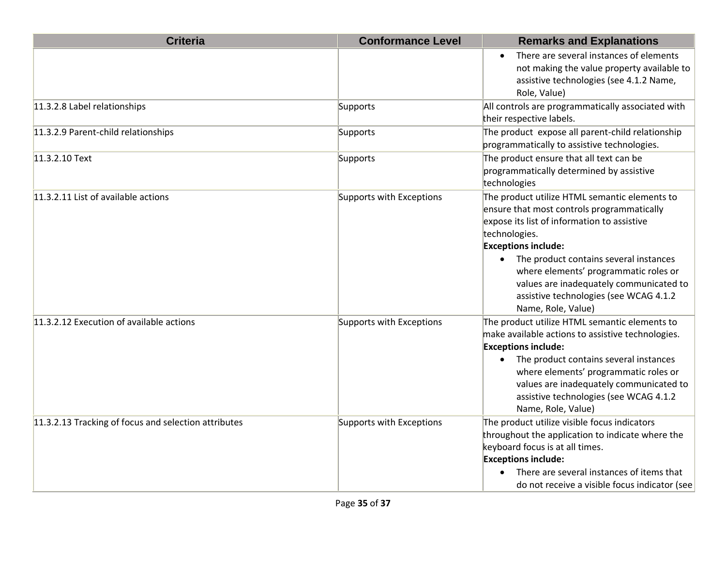| <b>Criteria</b>                                      | <b>Conformance Level</b> | <b>Remarks and Explanations</b>                                                                                                                                                                                                                                                                                                                                                           |
|------------------------------------------------------|--------------------------|-------------------------------------------------------------------------------------------------------------------------------------------------------------------------------------------------------------------------------------------------------------------------------------------------------------------------------------------------------------------------------------------|
|                                                      |                          | There are several instances of elements<br>$\bullet$<br>not making the value property available to<br>assistive technologies (see 4.1.2 Name,<br>Role, Value)                                                                                                                                                                                                                             |
| 11.3.2.8 Label relationships                         | Supports                 | All controls are programmatically associated with<br>their respective labels.                                                                                                                                                                                                                                                                                                             |
| 11.3.2.9 Parent-child relationships                  | Supports                 | The product expose all parent-child relationship<br>programmatically to assistive technologies.                                                                                                                                                                                                                                                                                           |
| 11.3.2.10 Text                                       | Supports                 | The product ensure that all text can be<br>programmatically determined by assistive<br>technologies                                                                                                                                                                                                                                                                                       |
| 11.3.2.11 List of available actions                  | Supports with Exceptions | The product utilize HTML semantic elements to<br>ensure that most controls programmatically<br>expose its list of information to assistive<br>technologies.<br><b>Exceptions include:</b><br>• The product contains several instances<br>where elements' programmatic roles or<br>values are inadequately communicated to<br>assistive technologies (see WCAG 4.1.2<br>Name, Role, Value) |
| 11.3.2.12 Execution of available actions             | Supports with Exceptions | The product utilize HTML semantic elements to<br>make available actions to assistive technologies.<br><b>Exceptions include:</b><br>The product contains several instances<br>$\bullet$<br>where elements' programmatic roles or<br>values are inadequately communicated to<br>assistive technologies (see WCAG 4.1.2<br>Name, Role, Value)                                               |
| 11.3.2.13 Tracking of focus and selection attributes | Supports with Exceptions | The product utilize visible focus indicators<br>throughout the application to indicate where the<br>keyboard focus is at all times.<br><b>Exceptions include:</b><br>There are several instances of items that<br>do not receive a visible focus indicator (see                                                                                                                           |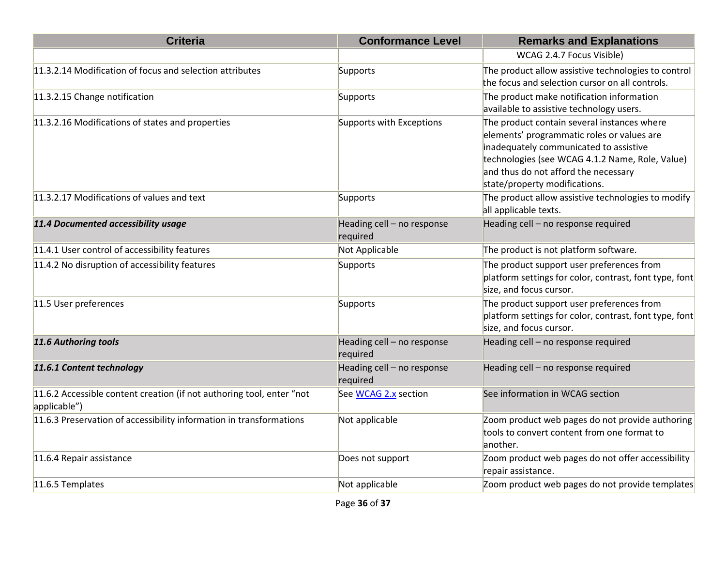| <b>Criteria</b>                                                                       | <b>Conformance Level</b>               | <b>Remarks and Explanations</b>                                                                                                                                                                                                                                 |
|---------------------------------------------------------------------------------------|----------------------------------------|-----------------------------------------------------------------------------------------------------------------------------------------------------------------------------------------------------------------------------------------------------------------|
|                                                                                       |                                        | WCAG 2.4.7 Focus Visible)                                                                                                                                                                                                                                       |
| 11.3.2.14 Modification of focus and selection attributes                              | Supports                               | The product allow assistive technologies to control<br>the focus and selection cursor on all controls.                                                                                                                                                          |
| 11.3.2.15 Change notification                                                         | Supports                               | The product make notification information<br>available to assistive technology users.                                                                                                                                                                           |
| 11.3.2.16 Modifications of states and properties                                      | Supports with Exceptions               | The product contain several instances where<br>elements' programmatic roles or values are<br>inadequately communicated to assistive<br>technologies (see WCAG 4.1.2 Name, Role, Value)<br>and thus do not afford the necessary<br>state/property modifications. |
| 11.3.2.17 Modifications of values and text                                            | Supports                               | The product allow assistive technologies to modify<br>all applicable texts.                                                                                                                                                                                     |
| 11.4 Documented accessibility usage                                                   | Heading cell - no response<br>required | Heading cell - no response required                                                                                                                                                                                                                             |
| 11.4.1 User control of accessibility features                                         | Not Applicable                         | The product is not platform software.                                                                                                                                                                                                                           |
| 11.4.2 No disruption of accessibility features                                        | Supports                               | The product support user preferences from<br>platform settings for color, contrast, font type, font<br>size, and focus cursor.                                                                                                                                  |
| 11.5 User preferences                                                                 | Supports                               | The product support user preferences from<br>platform settings for color, contrast, font type, font<br>size, and focus cursor.                                                                                                                                  |
| 11.6 Authoring tools                                                                  | Heading cell - no response<br>required | Heading cell - no response required                                                                                                                                                                                                                             |
| 11.6.1 Content technology                                                             | Heading cell - no response<br>required | Heading cell - no response required                                                                                                                                                                                                                             |
| 11.6.2 Accessible content creation (if not authoring tool, enter "not<br>applicable") | See WCAG 2.x section                   | See information in WCAG section                                                                                                                                                                                                                                 |
| 11.6.3 Preservation of accessibility information in transformations                   | Not applicable                         | Zoom product web pages do not provide authoring<br>tools to convert content from one format to<br>another.                                                                                                                                                      |
| 11.6.4 Repair assistance                                                              | Does not support                       | Zoom product web pages do not offer accessibility<br>repair assistance.                                                                                                                                                                                         |
| 11.6.5 Templates                                                                      | Not applicable                         | Zoom product web pages do not provide templates                                                                                                                                                                                                                 |